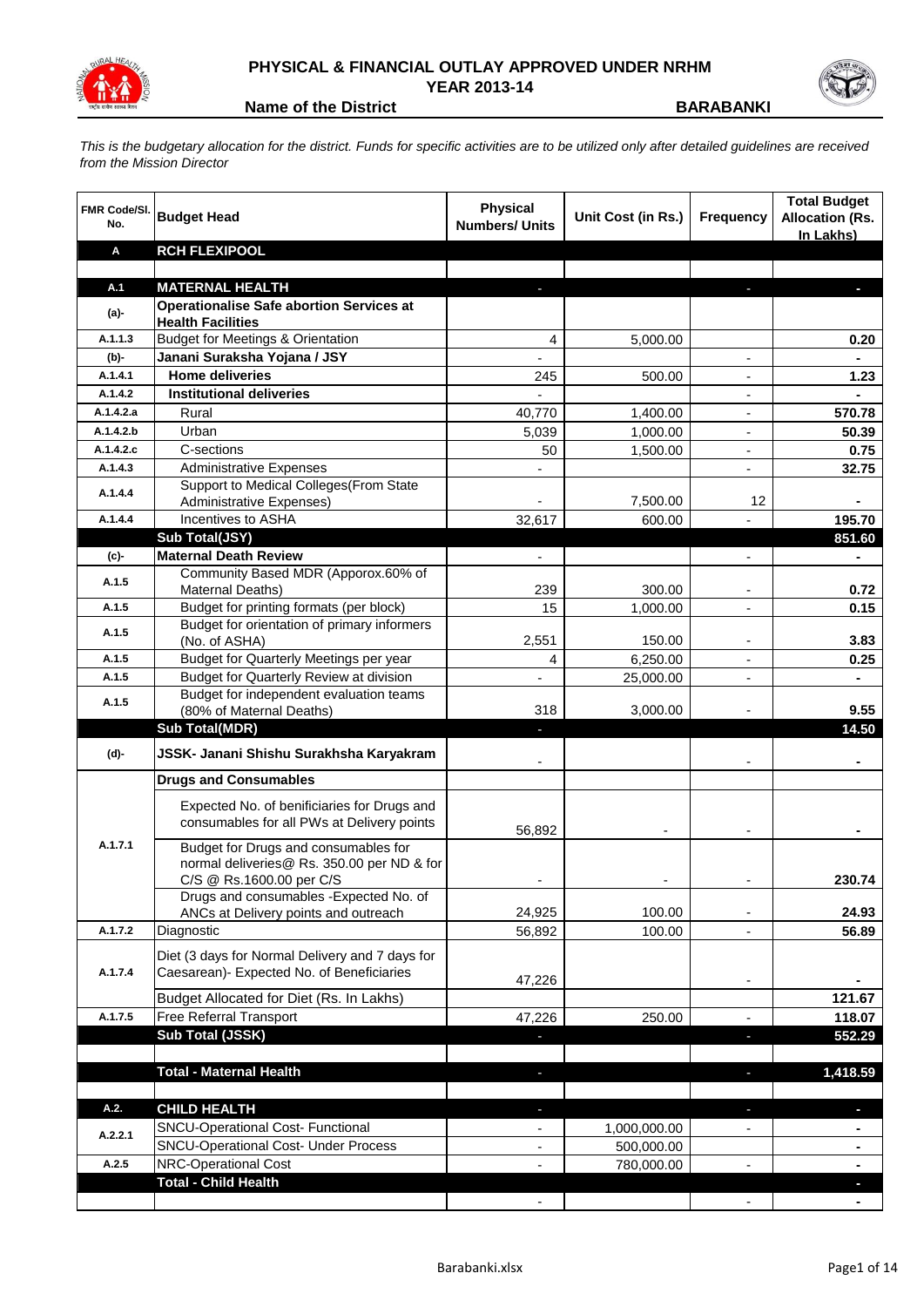

## **PHYSICAL & FINANCIAL OUTLAY APPROVED UNDER NRHM YEAR 2013-14**

**Name of the District BARABANKI** 

*This is the budgetary allocation for the district. Funds for specific activities are to be utilized only after detailed guidelines are received from the Mission Director*

| <b>FMR Code/SI.</b><br>No. | <b>Budget Head</b>                                                                        | <b>Physical</b><br><b>Numbers/ Units</b> | Unit Cost (in Rs.)       | <b>Frequency</b>         | <b>Total Budget</b><br><b>Allocation (Rs.</b><br>In Lakhs) |
|----------------------------|-------------------------------------------------------------------------------------------|------------------------------------------|--------------------------|--------------------------|------------------------------------------------------------|
| Α                          | <b>RCH FLEXIPOOL</b>                                                                      |                                          |                          |                          |                                                            |
|                            |                                                                                           |                                          |                          |                          |                                                            |
| A.1                        | <b>MATERNAL HEALTH</b>                                                                    |                                          |                          |                          |                                                            |
| $(a)$ -                    | <b>Operationalise Safe abortion Services at</b><br><b>Health Facilities</b>               |                                          |                          |                          |                                                            |
| A.1.1.3                    | <b>Budget for Meetings &amp; Orientation</b>                                              | 4                                        | 5,000.00                 |                          | 0.20                                                       |
| $(b)$ -                    | Janani Suraksha Yojana / JSY                                                              | $\frac{1}{2}$                            |                          | $\blacksquare$           | $\blacksquare$                                             |
| A.1.4.1                    | <b>Home deliveries</b>                                                                    | 245                                      | 500.00                   | $\overline{\phantom{a}}$ | 1.23                                                       |
| A.1.4.2                    | <b>Institutional deliveries</b>                                                           |                                          |                          | $\overline{\phantom{a}}$ |                                                            |
| A.1.4.2.a                  | Rural                                                                                     | 40,770                                   | 1,400.00                 | $\overline{\phantom{a}}$ | 570.78                                                     |
| A.1.4.2.b                  | Urban                                                                                     | 5,039                                    | 1,000.00                 | $\overline{\phantom{a}}$ | 50.39                                                      |
| A.1.4.2.c                  | C-sections                                                                                | 50                                       | 1,500.00                 | $\overline{\phantom{a}}$ | 0.75                                                       |
| A.1.4.3                    | <b>Administrative Expenses</b>                                                            |                                          |                          | $\overline{a}$           | 32.75                                                      |
|                            | Support to Medical Colleges (From State                                                   |                                          |                          |                          |                                                            |
| A.1.4.4                    | Administrative Expenses)                                                                  |                                          | 7,500.00                 | 12                       |                                                            |
| A.1.4.4                    | Incentives to ASHA                                                                        | 32,617                                   | 600.00                   |                          | 195.70                                                     |
|                            | Sub Total(JSY)                                                                            |                                          |                          |                          | 851.60                                                     |
| (c)                        | <b>Maternal Death Review</b>                                                              |                                          |                          |                          |                                                            |
| A.1.5                      | Community Based MDR (Apporox.60% of                                                       |                                          |                          |                          |                                                            |
| A.1.5                      | <b>Maternal Deaths)</b><br>Budget for printing formats (per block)                        | 239                                      | 300.00                   | $\overline{\phantom{a}}$ | 0.72                                                       |
|                            | Budget for orientation of primary informers                                               | 15                                       | 1,000.00                 | $\overline{\phantom{a}}$ | 0.15                                                       |
| A.1.5                      | (No. of ASHA)                                                                             | 2,551                                    | 150.00                   |                          | 3.83                                                       |
| A.1.5                      | Budget for Quarterly Meetings per year                                                    | 4                                        | 6,250.00                 | $\overline{a}$           | 0.25                                                       |
| A.1.5                      | Budget for Quarterly Review at division                                                   |                                          | 25,000.00                | $\overline{a}$           |                                                            |
| A.1.5                      | Budget for independent evaluation teams                                                   |                                          |                          |                          |                                                            |
|                            | (80% of Maternal Deaths)                                                                  | 318                                      | 3,000.00                 |                          | 9.55                                                       |
|                            | <b>Sub Total(MDR)</b>                                                                     | J,                                       |                          |                          | 14.50                                                      |
| (d)-                       | JSSK- Janani Shishu Surakhsha Karyakram                                                   |                                          |                          |                          |                                                            |
|                            | <b>Drugs and Consumables</b>                                                              |                                          |                          |                          |                                                            |
|                            | Expected No. of benificiaries for Drugs and<br>consumables for all PWs at Delivery points | 56,892                                   |                          |                          |                                                            |
| A.1.7.1                    | Budget for Drugs and consumables for<br>normal deliveries@ Rs. 350.00 per ND & for        |                                          |                          |                          |                                                            |
|                            | C/S @ Rs.1600.00 per C/S                                                                  |                                          |                          |                          | 230.74                                                     |
|                            | Drugs and consumables - Expected No. of                                                   |                                          |                          |                          |                                                            |
|                            | ANCs at Delivery points and outreach                                                      | 24,925                                   | 100.00                   |                          | 24.93                                                      |
| A.1.7.2                    | Diagnostic                                                                                | 56,892                                   | 100.00                   |                          | 56.89                                                      |
|                            | Diet (3 days for Normal Delivery and 7 days for                                           |                                          |                          |                          |                                                            |
| A.1.7.4                    | Caesarean)- Expected No. of Beneficiaries                                                 | 47,226                                   |                          | $\overline{\phantom{a}}$ |                                                            |
|                            | Budget Allocated for Diet (Rs. In Lakhs)                                                  |                                          |                          |                          | 121.67                                                     |
| A.1.7.5                    | Free Referral Transport                                                                   | 47,226                                   | 250.00                   | $\blacksquare$           | 118.07                                                     |
|                            | Sub Total (JSSK)                                                                          | ÷                                        |                          | F                        | 552.29                                                     |
|                            |                                                                                           |                                          |                          |                          |                                                            |
|                            | <b>Total - Maternal Health</b>                                                            | ٠                                        |                          | f,                       | 1,418.59                                                   |
|                            |                                                                                           |                                          |                          |                          |                                                            |
| A.2.                       | <b>CHILD HEALTH</b>                                                                       | ٠                                        |                          | r.                       | ٠                                                          |
| A.2.2.1                    | SNCU-Operational Cost- Functional<br><b>SNCU-Operational Cost- Under Process</b>          | $\overline{\phantom{0}}$                 | 1,000,000.00             |                          |                                                            |
| A.2.5                      | <b>NRC-Operational Cost</b>                                                               | $\qquad \qquad \blacksquare$<br>÷,       | 500,000.00<br>780,000.00 |                          | ۰                                                          |
|                            | <b>Total - Child Health</b>                                                               |                                          |                          |                          | $\blacksquare$                                             |
|                            |                                                                                           |                                          |                          |                          |                                                            |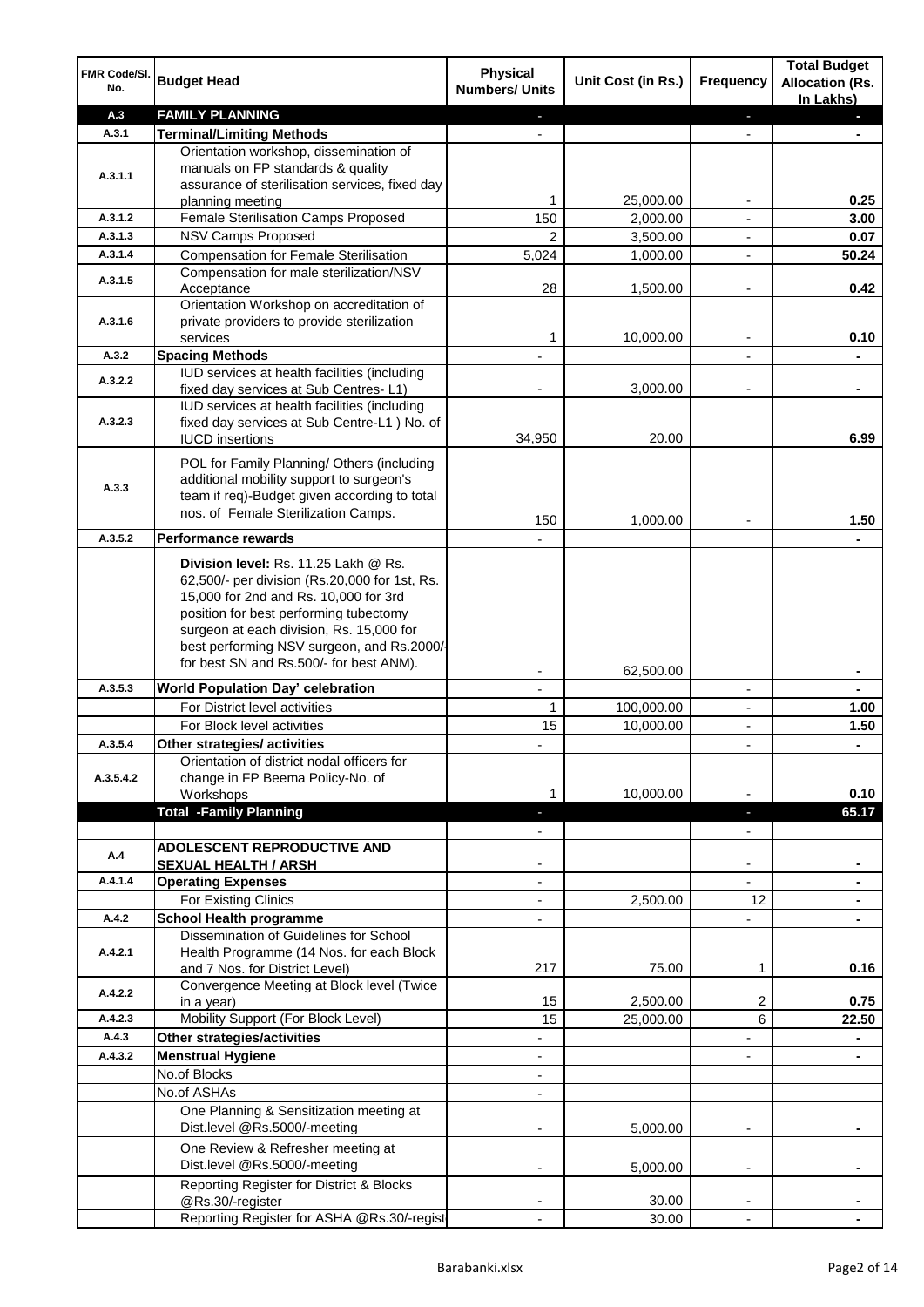| FMR Code/SI.<br>No.  | <b>Budget Head</b>                                                                                                                                                                                                                                                                                            | <b>Physical</b><br><b>Numbers/ Units</b> | Unit Cost (in Rs.) | Frequency                | <b>Total Budget</b><br><b>Allocation (Rs.</b><br>In Lakhs) |
|----------------------|---------------------------------------------------------------------------------------------------------------------------------------------------------------------------------------------------------------------------------------------------------------------------------------------------------------|------------------------------------------|--------------------|--------------------------|------------------------------------------------------------|
| A.3                  | <b>FAMILY PLANNING</b>                                                                                                                                                                                                                                                                                        | ÷.                                       |                    | $\blacksquare$           | $\blacksquare$                                             |
| A.3.1                | <b>Terminal/Limiting Methods</b>                                                                                                                                                                                                                                                                              |                                          |                    |                          |                                                            |
| A.3.1.1              | Orientation workshop, dissemination of<br>manuals on FP standards & quality<br>assurance of sterilisation services, fixed day                                                                                                                                                                                 |                                          |                    |                          |                                                            |
|                      | planning meeting                                                                                                                                                                                                                                                                                              | 1                                        | 25,000.00          | ۰                        | 0.25                                                       |
| A.3.1.2              | Female Sterilisation Camps Proposed                                                                                                                                                                                                                                                                           | 150                                      | 2,000.00           | $\overline{\phantom{a}}$ | 3.00                                                       |
| A.3.1.3              | NSV Camps Proposed                                                                                                                                                                                                                                                                                            | $\overline{2}$                           | 3,500.00           | $\overline{\phantom{a}}$ | 0.07                                                       |
| A.3.1.4              | <b>Compensation for Female Sterilisation</b>                                                                                                                                                                                                                                                                  | 5,024                                    | 1,000.00           | $\blacksquare$           | 50.24                                                      |
| A.3.1.5              | Compensation for male sterilization/NSV<br>Acceptance                                                                                                                                                                                                                                                         | 28                                       | 1,500.00           | ٠                        | 0.42                                                       |
| A.3.1.6              | Orientation Workshop on accreditation of<br>private providers to provide sterilization<br>services                                                                                                                                                                                                            | 1                                        | 10,000.00          |                          | 0.10                                                       |
| A.3.2                | <b>Spacing Methods</b>                                                                                                                                                                                                                                                                                        |                                          |                    |                          |                                                            |
|                      | IUD services at health facilities (including                                                                                                                                                                                                                                                                  |                                          |                    |                          |                                                            |
| A.3.2.2              | fixed day services at Sub Centres-L1)<br>IUD services at health facilities (including                                                                                                                                                                                                                         |                                          | 3,000.00           |                          |                                                            |
| A.3.2.3              | fixed day services at Sub Centre-L1 ) No. of<br><b>IUCD</b> insertions                                                                                                                                                                                                                                        | 34,950                                   | 20.00              |                          | 6.99                                                       |
| A.3.3                | POL for Family Planning/ Others (including<br>additional mobility support to surgeon's<br>team if req)-Budget given according to total<br>nos. of Female Sterilization Camps.                                                                                                                                 | 150                                      | 1,000.00           |                          | 1.50                                                       |
| A.3.5.2              | <b>Performance rewards</b>                                                                                                                                                                                                                                                                                    |                                          |                    |                          |                                                            |
|                      | Division level: Rs. 11.25 Lakh @ Rs.<br>62,500/- per division (Rs.20,000 for 1st, Rs.<br>15,000 for 2nd and Rs. 10,000 for 3rd<br>position for best performing tubectomy<br>surgeon at each division, Rs. 15,000 for<br>best performing NSV surgeon, and Rs.2000/-<br>for best SN and Rs.500/- for best ANM). |                                          |                    |                          |                                                            |
| A.3.5.3              |                                                                                                                                                                                                                                                                                                               |                                          | 62,500.00          |                          |                                                            |
|                      | World Population Day' celebration                                                                                                                                                                                                                                                                             |                                          |                    | $\overline{\phantom{a}}$ |                                                            |
|                      | For District level activities                                                                                                                                                                                                                                                                                 | 1                                        | 100,000.00         | ٠                        | 1.00                                                       |
|                      | For Block level activities                                                                                                                                                                                                                                                                                    | 15                                       | 10,000.00          | Ĭ.                       | 1.50                                                       |
| A.3.5.4<br>A.3.5.4.2 | Other strategies/ activities<br>Orientation of district nodal officers for<br>change in FP Beema Policy-No. of<br>Workshops                                                                                                                                                                                   | ٠<br>1                                   | 10,000.00          | $\overline{\phantom{a}}$ | $\blacksquare$<br>0.10                                     |
|                      | <b>Total -Family Planning</b>                                                                                                                                                                                                                                                                                 | н                                        |                    | ٠                        | 65.17                                                      |
|                      |                                                                                                                                                                                                                                                                                                               |                                          |                    | $\overline{\phantom{0}}$ |                                                            |
| A.4                  | <b>ADOLESCENT REPRODUCTIVE AND</b>                                                                                                                                                                                                                                                                            |                                          |                    |                          |                                                            |
|                      | <b>SEXUAL HEALTH / ARSH</b>                                                                                                                                                                                                                                                                                   |                                          |                    | ۰                        |                                                            |
| A.4.1.4              | <b>Operating Expenses</b>                                                                                                                                                                                                                                                                                     | $\overline{\phantom{0}}$                 |                    | $\overline{\phantom{0}}$ |                                                            |
|                      | For Existing Clinics                                                                                                                                                                                                                                                                                          | $\overline{\phantom{0}}$                 | 2,500.00           | 12                       |                                                            |
| A.4.2                | <b>School Health programme</b>                                                                                                                                                                                                                                                                                | $\overline{\phantom{0}}$                 |                    | ÷,                       |                                                            |
| A.4.2.1              | Dissemination of Guidelines for School<br>Health Programme (14 Nos. for each Block<br>and 7 Nos. for District Level)                                                                                                                                                                                          | 217                                      | 75.00              | 1                        | 0.16                                                       |
|                      | Convergence Meeting at Block level (Twice                                                                                                                                                                                                                                                                     |                                          |                    |                          |                                                            |
| A.4.2.2              | in a year)                                                                                                                                                                                                                                                                                                    | 15                                       | 2,500.00           | 2                        | 0.75                                                       |
| A.4.2.3              | Mobility Support (For Block Level)                                                                                                                                                                                                                                                                            | 15                                       | 25,000.00          | 6                        | 22.50                                                      |
| A.4.3                | Other strategies/activities                                                                                                                                                                                                                                                                                   | $\overline{\phantom{0}}$                 |                    | $\overline{\phantom{0}}$ | $\blacksquare$                                             |
| A.4.3.2              | <b>Menstrual Hygiene</b>                                                                                                                                                                                                                                                                                      | $\overline{\phantom{a}}$                 |                    | ÷,                       | ۰                                                          |
|                      | No.of Blocks                                                                                                                                                                                                                                                                                                  | $\blacksquare$                           |                    |                          |                                                            |
|                      | No.of ASHAs                                                                                                                                                                                                                                                                                                   | $\overline{\phantom{a}}$                 |                    |                          |                                                            |
|                      | One Planning & Sensitization meeting at<br>Dist.level @Rs.5000/-meeting                                                                                                                                                                                                                                       |                                          | 5,000.00           |                          |                                                            |
|                      | One Review & Refresher meeting at<br>Dist.level @Rs.5000/-meeting                                                                                                                                                                                                                                             | $\overline{\phantom{a}}$                 | 5,000.00           | ٠                        |                                                            |
|                      | Reporting Register for District & Blocks                                                                                                                                                                                                                                                                      |                                          |                    |                          |                                                            |
|                      | @Rs.30/-register<br>Reporting Register for ASHA @Rs.30/-regist                                                                                                                                                                                                                                                |                                          | 30.00<br>30.00     |                          |                                                            |
|                      |                                                                                                                                                                                                                                                                                                               |                                          |                    |                          |                                                            |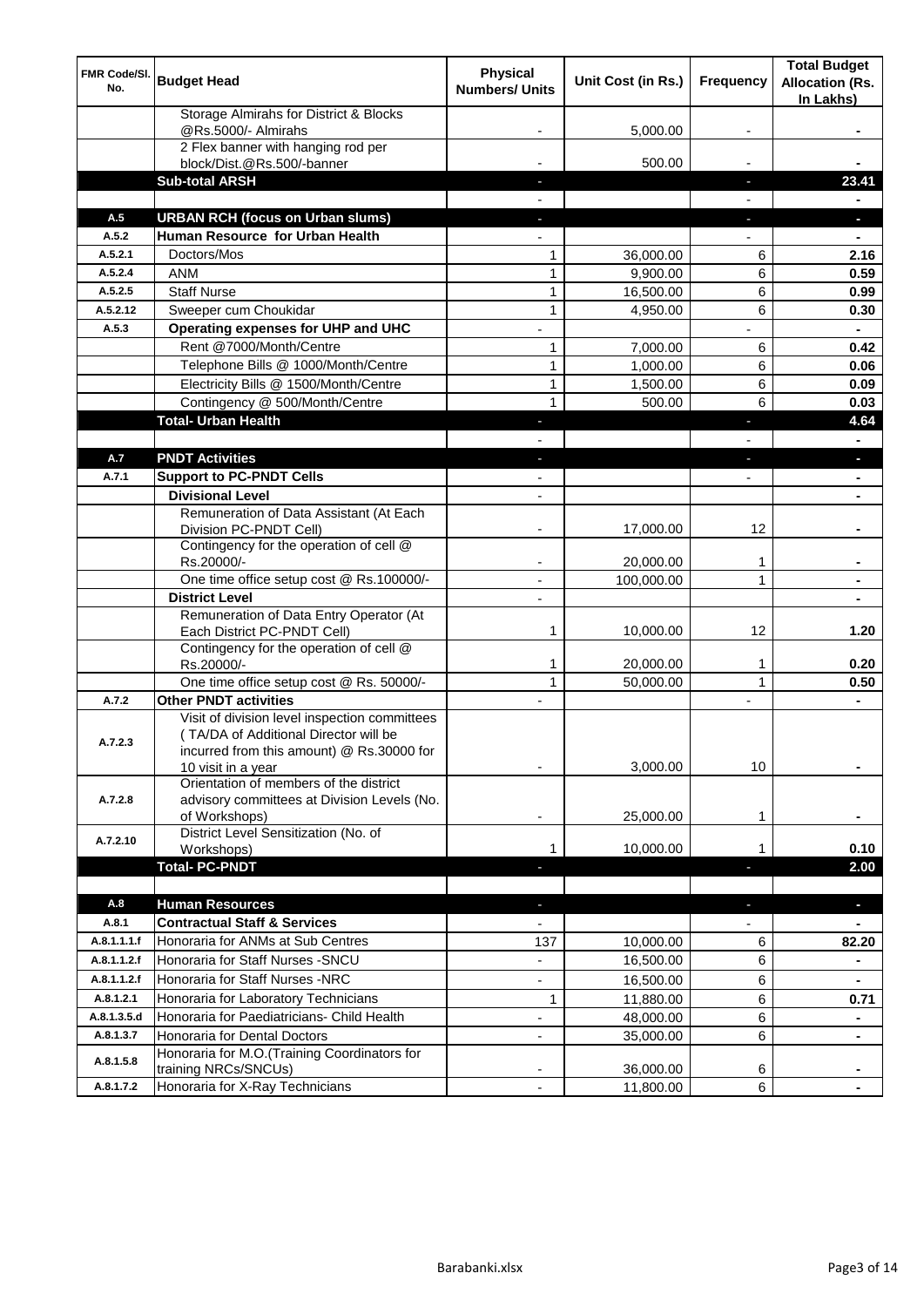| FMR Code/SI.<br>No. | <b>Budget Head</b>                                                                                                                                        | <b>Physical</b><br><b>Numbers/ Units</b> | Unit Cost (in Rs.) | <b>Frequency</b>         | <b>Total Budget</b><br><b>Allocation (Rs.</b><br>In Lakhs) |
|---------------------|-----------------------------------------------------------------------------------------------------------------------------------------------------------|------------------------------------------|--------------------|--------------------------|------------------------------------------------------------|
|                     | Storage Almirahs for District & Blocks<br>@Rs.5000/- Almirahs                                                                                             |                                          | 5,000.00           |                          |                                                            |
|                     | 2 Flex banner with hanging rod per<br>block/Dist.@Rs.500/-banner                                                                                          |                                          | 500.00             |                          |                                                            |
|                     | <b>Sub-total ARSH</b>                                                                                                                                     |                                          |                    | ٠                        | 23.41                                                      |
|                     |                                                                                                                                                           |                                          |                    |                          |                                                            |
| A.5                 | <b>URBAN RCH (focus on Urban slums)</b>                                                                                                                   |                                          |                    | ٠                        | $\blacksquare$                                             |
| A.5.2               | Human Resource for Urban Health                                                                                                                           | $\blacksquare$                           |                    | $\overline{\phantom{0}}$ | $\blacksquare$                                             |
| A.5.2.1             | Doctors/Mos                                                                                                                                               | 1                                        | 36,000.00          | 6                        | 2.16                                                       |
| A.5.2.4             | <b>ANM</b>                                                                                                                                                | 1                                        | 9,900.00           | 6                        | 0.59                                                       |
| A.5.2.5             | <b>Staff Nurse</b>                                                                                                                                        | 1                                        | 16,500.00          | 6                        | 0.99                                                       |
| A.5.2.12            | Sweeper cum Choukidar                                                                                                                                     | 1                                        | 4,950.00           | 6                        | 0.30                                                       |
| A.5.3               | Operating expenses for UHP and UHC                                                                                                                        | $\overline{a}$                           |                    |                          | $\blacksquare$                                             |
|                     | Rent @7000/Month/Centre                                                                                                                                   | 1                                        | 7,000.00           | 6                        | 0.42                                                       |
|                     | Telephone Bills @ 1000/Month/Centre                                                                                                                       | 1                                        | 1,000.00           | 6                        | 0.06                                                       |
|                     | Electricity Bills @ 1500/Month/Centre                                                                                                                     | $\mathbf{1}$                             | 1,500.00           | 6                        | 0.09                                                       |
|                     | Contingency @ 500/Month/Centre                                                                                                                            | $\mathbf{1}$                             | 500.00             | 6                        | 0.03                                                       |
|                     | <b>Total- Urban Health</b>                                                                                                                                | ٠                                        |                    | ٠                        | 4.64                                                       |
|                     |                                                                                                                                                           |                                          |                    |                          |                                                            |
| A.7                 | <b>PNDT Activities</b>                                                                                                                                    | ٠                                        |                    | $\blacksquare$           | ٠                                                          |
| A.7.1               | <b>Support to PC-PNDT Cells</b>                                                                                                                           | $\overline{\phantom{a}}$                 |                    | ÷                        | $\blacksquare$                                             |
|                     | <b>Divisional Level</b><br>Remuneration of Data Assistant (At Each                                                                                        | $\overline{\phantom{a}}$                 |                    |                          | $\blacksquare$                                             |
|                     | Division PC-PNDT Cell)                                                                                                                                    |                                          | 17,000.00          | 12                       |                                                            |
|                     | Contingency for the operation of cell @<br>Rs.20000/-                                                                                                     | ۰                                        | 20,000.00          | $\mathbf 1$              | ۰                                                          |
|                     | One time office setup cost @ Rs.100000/-                                                                                                                  | $\blacksquare$                           | 100,000.00         | 1                        | ٠                                                          |
|                     | <b>District Level</b>                                                                                                                                     | $\overline{\phantom{a}}$                 |                    |                          | $\blacksquare$                                             |
|                     | Remuneration of Data Entry Operator (At<br>Each District PC-PNDT Cell)                                                                                    | 1                                        | 10,000.00          | 12                       | 1.20                                                       |
|                     | Contingency for the operation of cell @<br>Rs.20000/-                                                                                                     | 1                                        | 20,000.00          | 1                        | 0.20                                                       |
|                     | One time office setup cost @ Rs. 50000/-                                                                                                                  | $\mathbf{1}$                             | 50,000.00          | $\mathbf{1}$             | 0.50                                                       |
| A.7.2               | <b>Other PNDT activities</b>                                                                                                                              | $\overline{\phantom{a}}$                 |                    | $\overline{\phantom{a}}$ | $\blacksquare$                                             |
| A.7.2.3             | Visit of division level inspection committees<br>(TA/DA of Additional Director will be<br>incurred from this amount) @ Rs.30000 for<br>10 visit in a year | ۰                                        | 3,000.00           | 10                       | ٠                                                          |
| A.7.2.8             | Orientation of members of the district<br>advisory committees at Division Levels (No.<br>of Workshops)                                                    |                                          | 25,000.00          | 1                        |                                                            |
|                     | District Level Sensitization (No. of                                                                                                                      |                                          |                    |                          |                                                            |
| A.7.2.10            | Workshops)                                                                                                                                                | 1                                        | 10,000.00          | 1                        | 0.10                                                       |
|                     | <b>Total-PC-PNDT</b>                                                                                                                                      |                                          |                    | Ξ                        | 2.00                                                       |
|                     |                                                                                                                                                           |                                          |                    |                          |                                                            |
| A.8                 | <b>Human Resources</b>                                                                                                                                    | ٠                                        |                    | $\blacksquare$           | ٠                                                          |
| A.8.1               | <b>Contractual Staff &amp; Services</b>                                                                                                                   | $\blacksquare$                           |                    |                          | $\blacksquare$                                             |
| A.8.1.1.1.f         | Honoraria for ANMs at Sub Centres                                                                                                                         | 137                                      | 10,000.00          | 6                        | 82.20                                                      |
| A.8.1.1.2.f         | Honoraria for Staff Nurses - SNCU                                                                                                                         | ٠                                        | 16,500.00          | 6                        | $\blacksquare$                                             |
| A.8.1.1.2.f         | Honoraria for Staff Nurses -NRC                                                                                                                           | $\overline{\phantom{0}}$                 | 16,500.00          | 6                        | ۰                                                          |
| A.8.1.2.1           | Honoraria for Laboratory Technicians                                                                                                                      | 1                                        | 11,880.00          | 6                        | 0.71                                                       |
| A.8.1.3.5.d         | Honoraria for Paediatricians- Child Health                                                                                                                | $\overline{\phantom{a}}$                 | 48,000.00          | 6                        | $\blacksquare$                                             |
| A.8.1.3.7           | Honoraria for Dental Doctors                                                                                                                              | $\overline{\phantom{a}}$                 | 35,000.00          | 6                        | $\blacksquare$                                             |
| A.8.1.5.8           | Honoraria for M.O.(Training Coordinators for<br>training NRCs/SNCUs)                                                                                      |                                          | 36,000.00          | 6                        |                                                            |
| A.8.1.7.2           | Honoraria for X-Ray Technicians                                                                                                                           |                                          | 11,800.00          | 6                        |                                                            |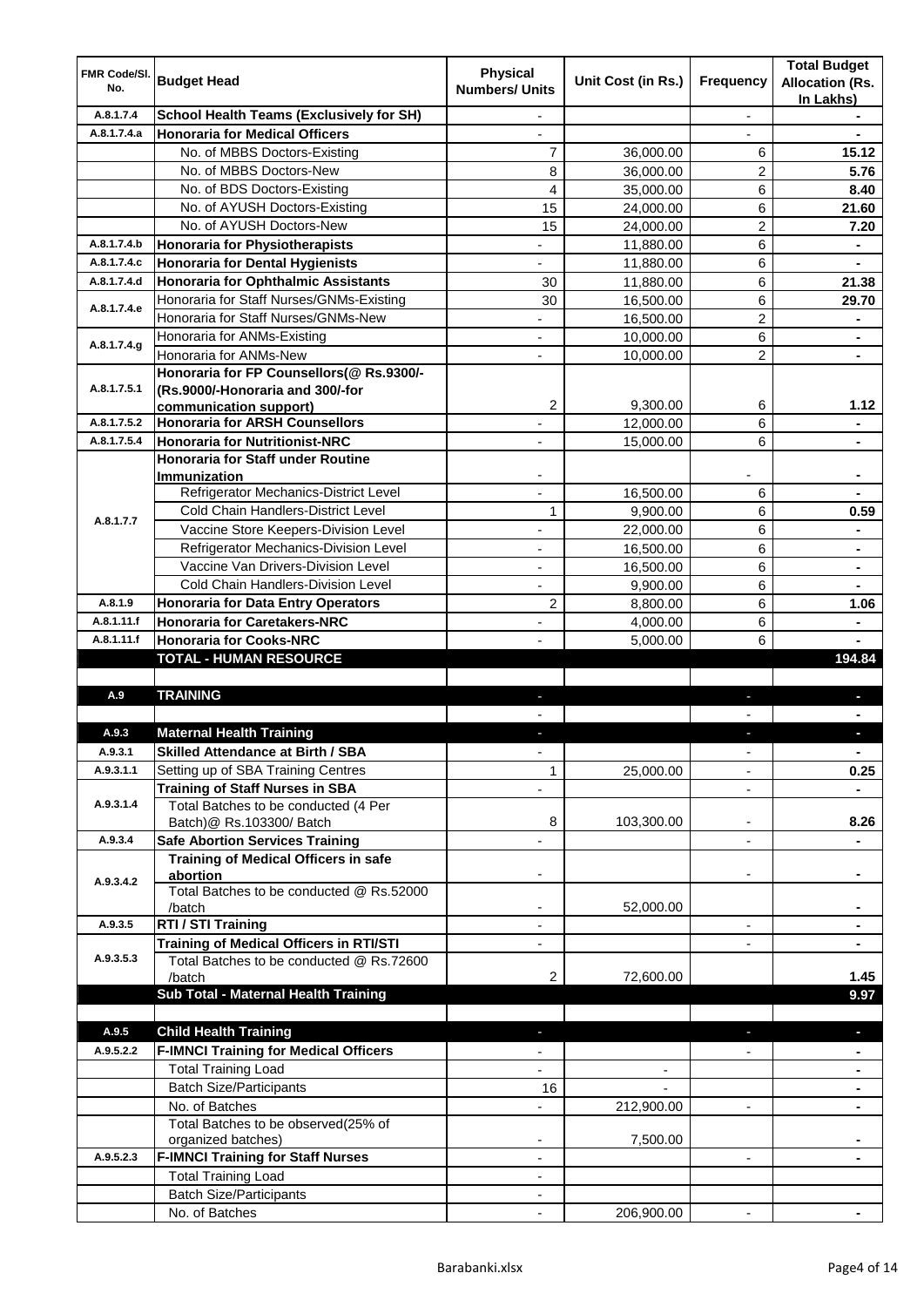| FMR Code/SI.<br>No. | <b>Budget Head</b>                                                | <b>Physical</b><br><b>Numbers/ Units</b> | Unit Cost (in Rs.) | <b>Frequency</b>         | <b>Total Budget</b><br><b>Allocation (Rs.</b><br>In Lakhs) |
|---------------------|-------------------------------------------------------------------|------------------------------------------|--------------------|--------------------------|------------------------------------------------------------|
| A.8.1.7.4           | <b>School Health Teams (Exclusively for SH)</b>                   |                                          |                    | $\overline{\phantom{a}}$ |                                                            |
| A.8.1.7.4.a         | <b>Honoraria for Medical Officers</b>                             |                                          |                    |                          |                                                            |
|                     | No. of MBBS Doctors-Existing                                      | $\overline{7}$                           | 36,000.00          | 6                        | 15.12                                                      |
|                     | No. of MBBS Doctors-New                                           | 8                                        | 36,000.00          | 2                        | 5.76                                                       |
|                     | No. of BDS Doctors-Existing                                       | 4                                        | 35,000.00          | 6                        | 8.40                                                       |
|                     | No. of AYUSH Doctors-Existing                                     | 15                                       | 24,000.00          | 6                        | 21.60                                                      |
|                     | No. of AYUSH Doctors-New                                          | 15                                       | 24,000.00          | 2                        | 7.20                                                       |
| A.8.1.7.4.b         | Honoraria for Physiotherapists                                    | ä,                                       | 11,880.00          | 6                        | $\blacksquare$                                             |
| A.8.1.7.4.c         | Honoraria for Dental Hygienists                                   | $\overline{\phantom{0}}$                 | 11,880.00          | 6                        | $\blacksquare$                                             |
| A.8.1.7.4.d         | Honoraria for Ophthalmic Assistants                               | 30                                       | 11,880.00          | 6                        | 21.38                                                      |
| A.8.1.7.4.e         | Honoraria for Staff Nurses/GNMs-Existing                          | 30                                       | 16,500.00          | 6                        | 29.70                                                      |
|                     | Honoraria for Staff Nurses/GNMs-New                               | $\overline{\phantom{a}}$                 | 16,500.00          | $\overline{2}$           | $\blacksquare$                                             |
| A.8.1.7.4.g         | Honoraria for ANMs-Existing                                       | $\blacksquare$                           | 10,000.00          | 6                        | $\blacksquare$                                             |
|                     | Honoraria for ANMs-New                                            | $\overline{\phantom{a}}$                 | 10,000.00          | $\overline{2}$           | $\blacksquare$                                             |
| A.8.1.7.5.1         | Honoraria for FP Counsellors(@ Rs.9300/-                          |                                          |                    |                          |                                                            |
|                     | (Rs.9000/-Honoraria and 300/-for<br>communication support)        | $\overline{2}$                           | 9,300.00           | 6                        | 1.12                                                       |
| A.8.1.7.5.2         | <b>Honoraria for ARSH Counsellors</b>                             |                                          | 12,000.00          | 6                        |                                                            |
| A.8.1.7.5.4         | <b>Honoraria for Nutritionist-NRC</b>                             |                                          | 15.000.00          | 6                        |                                                            |
|                     | <b>Honoraria for Staff under Routine</b>                          |                                          |                    |                          |                                                            |
|                     | <b>Immunization</b>                                               |                                          |                    |                          |                                                            |
|                     | Refrigerator Mechanics-District Level                             |                                          | 16.500.00          | 6                        |                                                            |
|                     | <b>Cold Chain Handlers-District Level</b>                         | 1                                        | 9,900.00           | 6                        | 0.59                                                       |
| A.8.1.7.7           | Vaccine Store Keepers-Division Level                              |                                          | 22,000.00          | 6                        |                                                            |
|                     | Refrigerator Mechanics-Division Level                             |                                          | 16,500.00          | 6                        |                                                            |
|                     | Vaccine Van Drivers-Division Level                                |                                          | 16,500.00          | 6                        | $\blacksquare$                                             |
|                     | Cold Chain Handlers-Division Level                                |                                          | 9,900.00           | 6                        |                                                            |
| A.8.1.9             | Honoraria for Data Entry Operators                                | 2                                        | 8,800.00           | 6                        | 1.06                                                       |
| A.8.1.11.f          | <b>Honoraria for Caretakers-NRC</b>                               |                                          | 4,000.00           | 6                        |                                                            |
| A.8.1.11.f          | <b>Honoraria for Cooks-NRC</b>                                    |                                          | 5,000.00           | 6                        |                                                            |
|                     | TOTAL - HUMAN RESOURCE                                            |                                          |                    |                          | 194.84                                                     |
|                     |                                                                   |                                          |                    |                          |                                                            |
| A.9                 | <b>TRAINING</b>                                                   |                                          |                    |                          |                                                            |
|                     |                                                                   |                                          |                    |                          |                                                            |
| A.9.3               | <b>Maternal Health Training</b>                                   |                                          |                    |                          |                                                            |
| A.Y.3.1             | <b>Skilled Attendance at Birth / SBA</b>                          |                                          |                    |                          |                                                            |
| A.9.3.1.1           | Setting up of SBA Training Centres                                | 1                                        | 25,000.00          |                          | 0.25                                                       |
| A.9.3.1.4           | <b>Training of Staff Nurses in SBA</b>                            |                                          |                    | $\blacksquare$           |                                                            |
|                     | Total Batches to be conducted (4 Per<br>Batch) @ Rs.103300/ Batch | 8                                        | 103,300.00         | $\overline{\phantom{a}}$ | 8.26                                                       |
| A.9.3.4             | <b>Safe Abortion Services Training</b>                            |                                          |                    | $\overline{\phantom{0}}$ |                                                            |
|                     | <b>Training of Medical Officers in safe</b>                       |                                          |                    |                          |                                                            |
|                     | abortion                                                          |                                          |                    | $\overline{\phantom{a}}$ | ٠                                                          |
| A.9.3.4.2           | Total Batches to be conducted @ Rs.52000                          |                                          |                    |                          |                                                            |
|                     | /batch                                                            |                                          | 52,000.00          |                          |                                                            |
| A.9.3.5             | RTI / STI Training                                                |                                          |                    | $\overline{\phantom{a}}$ |                                                            |
|                     | <b>Training of Medical Officers in RTI/STI</b>                    |                                          |                    |                          |                                                            |
| A.9.3.5.3           | Total Batches to be conducted @ Rs.72600                          |                                          |                    |                          |                                                            |
|                     | /batch                                                            | 2                                        | 72,600.00          |                          | 1.45                                                       |
|                     | Sub Total - Maternal Health Training                              |                                          |                    |                          | 9.97                                                       |
|                     |                                                                   |                                          |                    |                          |                                                            |
| A.9.5               | <b>Child Health Training</b>                                      |                                          |                    |                          | $\blacksquare$                                             |
| A.9.5.2.2           | <b>F-IMNCI Training for Medical Officers</b>                      |                                          |                    |                          |                                                            |
|                     | <b>Total Training Load</b>                                        |                                          |                    |                          |                                                            |
|                     | <b>Batch Size/Participants</b>                                    | 16                                       |                    |                          |                                                            |
|                     | No. of Batches<br>Total Batches to be observed(25% of             |                                          | 212,900.00         | ٠                        |                                                            |
|                     |                                                                   |                                          |                    |                          |                                                            |
|                     |                                                                   |                                          |                    |                          |                                                            |
| A.9.5.2.3           | organized batches)                                                |                                          | 7,500.00           | $\overline{\phantom{a}}$ |                                                            |
|                     | <b>F-IMNCI Training for Staff Nurses</b>                          |                                          |                    |                          |                                                            |
|                     | <b>Total Training Load</b><br><b>Batch Size/Participants</b>      |                                          |                    |                          |                                                            |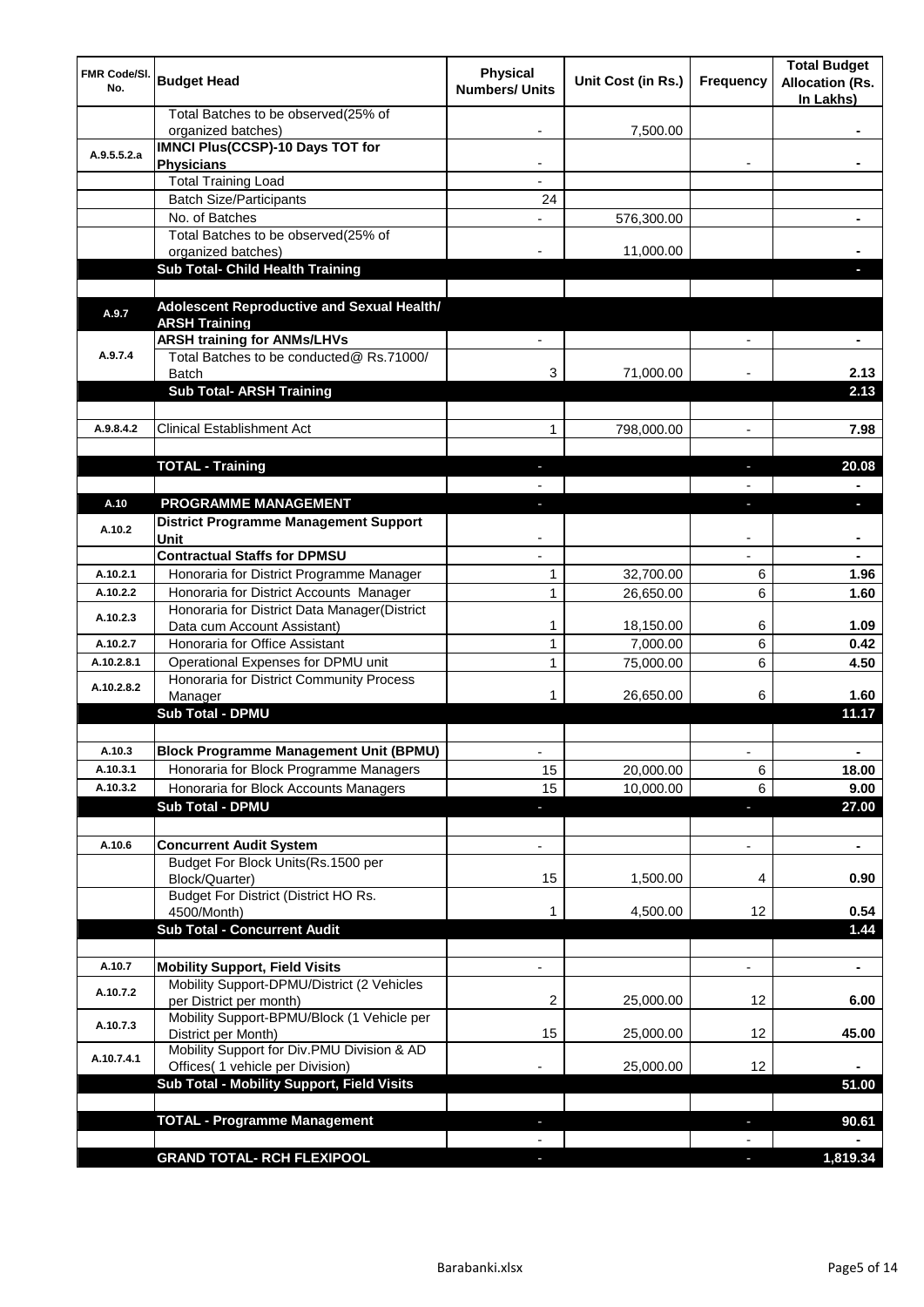| FMR Code/SI.<br>No. | <b>Budget Head</b>                                                             | <b>Physical</b><br><b>Numbers/ Units</b> | Unit Cost (in Rs.) | <b>Frequency</b>         | <b>Total Budget</b><br><b>Allocation (Rs.</b><br>In Lakhs) |
|---------------------|--------------------------------------------------------------------------------|------------------------------------------|--------------------|--------------------------|------------------------------------------------------------|
|                     | Total Batches to be observed(25% of<br>organized batches)                      |                                          | 7,500.00           |                          |                                                            |
| A.9.5.5.2.a         | <b>IMNCI Plus(CCSP)-10 Days TOT for</b><br><b>Physicians</b>                   |                                          |                    |                          |                                                            |
|                     | <b>Total Training Load</b>                                                     |                                          |                    |                          |                                                            |
|                     | <b>Batch Size/Participants</b>                                                 | 24                                       |                    |                          |                                                            |
|                     | No. of Batches                                                                 |                                          | 576,300.00         |                          |                                                            |
|                     | Total Batches to be observed(25% of                                            |                                          |                    |                          |                                                            |
|                     | organized batches)<br><b>Sub Total- Child Health Training</b>                  |                                          | 11,000.00          |                          |                                                            |
|                     |                                                                                |                                          |                    |                          |                                                            |
| A.9.7               | Adolescent Reproductive and Sexual Health/<br><b>ARSH Training</b>             |                                          |                    |                          |                                                            |
| A.9.7.4             | <b>ARSH training for ANMs/LHVs</b><br>Total Batches to be conducted@ Rs.71000/ |                                          |                    |                          |                                                            |
|                     | <b>Batch</b>                                                                   | 3                                        | 71,000.00          |                          | 2.13                                                       |
|                     | <b>Sub Total- ARSH Training</b>                                                |                                          |                    |                          | 2.13                                                       |
| A.9.8.4.2           | <b>Clinical Establishment Act</b>                                              | 1                                        | 798,000.00         |                          | 7.98                                                       |
|                     |                                                                                |                                          |                    | $\overline{\phantom{a}}$ |                                                            |
|                     | <b>TOTAL - Training</b>                                                        | ٠                                        |                    | ٠                        | 20.08                                                      |
|                     |                                                                                |                                          |                    |                          |                                                            |
| A.10                | <b>PROGRAMME MANAGEMENT</b>                                                    | L.                                       |                    | ı                        | п                                                          |
| A.10.2              | District Programme Management Support<br>Unit                                  |                                          |                    |                          |                                                            |
|                     | <b>Contractual Staffs for DPMSU</b>                                            |                                          |                    |                          |                                                            |
| A.10.2.1            | Honoraria for District Programme Manager                                       | 1                                        | 32,700.00          | 6                        | 1.96                                                       |
| A.10.2.2            | Honoraria for District Accounts Manager                                        | 1                                        | 26,650.00          | 6                        | 1.60                                                       |
| A.10.2.3            | Honoraria for District Data Manager(District                                   |                                          |                    |                          |                                                            |
|                     | Data cum Account Assistant)                                                    | 1                                        | 18,150.00          | 6                        | 1.09                                                       |
| A.10.2.7            | Honoraria for Office Assistant                                                 | 1                                        | 7,000.00           | 6                        | 0.42                                                       |
| A.10.2.8.1          | Operational Expenses for DPMU unit                                             | 1                                        | 75,000.00          | 6                        | 4.50                                                       |
| A.10.2.8.2          | Honoraria for District Community Process<br>Manager<br><b>Sub Total - DPMU</b> |                                          | 26,650.00          | 6                        | 1.60<br>11.17                                              |
|                     |                                                                                |                                          |                    |                          |                                                            |
| A.10.3              | <b>Block Programme Management Unit (BPMU)</b>                                  |                                          |                    |                          |                                                            |
| A.10.3.1            | Honoraria for Block Programme Managers                                         | 15                                       | 20,000.00          | 6                        | 18.00                                                      |
| A.10.3.2            | Honoraria for Block Accounts Managers                                          | 15                                       | 10,000.00          | 6                        | 9.00                                                       |
|                     | <b>Sub Total - DPMU</b>                                                        | E.                                       |                    | ä,                       | 27.00                                                      |
|                     |                                                                                |                                          |                    |                          |                                                            |
| A.10.6              | <b>Concurrent Audit System</b>                                                 |                                          |                    | ٠                        | $\blacksquare$                                             |
|                     | Budget For Block Units(Rs.1500 per<br>Block/Quarter)                           | 15                                       | 1,500.00           | 4                        | 0.90                                                       |
|                     | Budget For District (District HO Rs.<br>4500/Month)                            | 1                                        | 4,500.00           | 12                       | 0.54                                                       |
|                     | <b>Sub Total - Concurrent Audit</b>                                            |                                          |                    |                          | 1.44                                                       |
|                     |                                                                                |                                          |                    |                          |                                                            |
| A.10.7              | <b>Mobility Support, Field Visits</b>                                          |                                          |                    |                          | $\blacksquare$                                             |
| A.10.7.2            | Mobility Support-DPMU/District (2 Vehicles<br>per District per month)          | 2                                        | 25,000.00          | 12                       | 6.00                                                       |
| A.10.7.3            | Mobility Support-BPMU/Block (1 Vehicle per<br>District per Month)              | 15                                       | 25,000.00          | 12                       | 45.00                                                      |
| A.10.7.4.1          | Mobility Support for Div.PMU Division & AD                                     |                                          | 25,000.00          | 12 <sup>°</sup>          |                                                            |
|                     | Offices( 1 vehicle per Division)<br>Sub Total - Mobility Support, Field Visits |                                          |                    |                          | 51.00                                                      |
|                     |                                                                                |                                          |                    |                          |                                                            |
|                     | <b>TOTAL - Programme Management</b>                                            |                                          |                    | L                        | 90.61                                                      |
|                     |                                                                                |                                          |                    |                          |                                                            |
|                     | <b>GRAND TOTAL- RCH FLEXIPOOL</b>                                              |                                          |                    | J,                       | 1,819.34                                                   |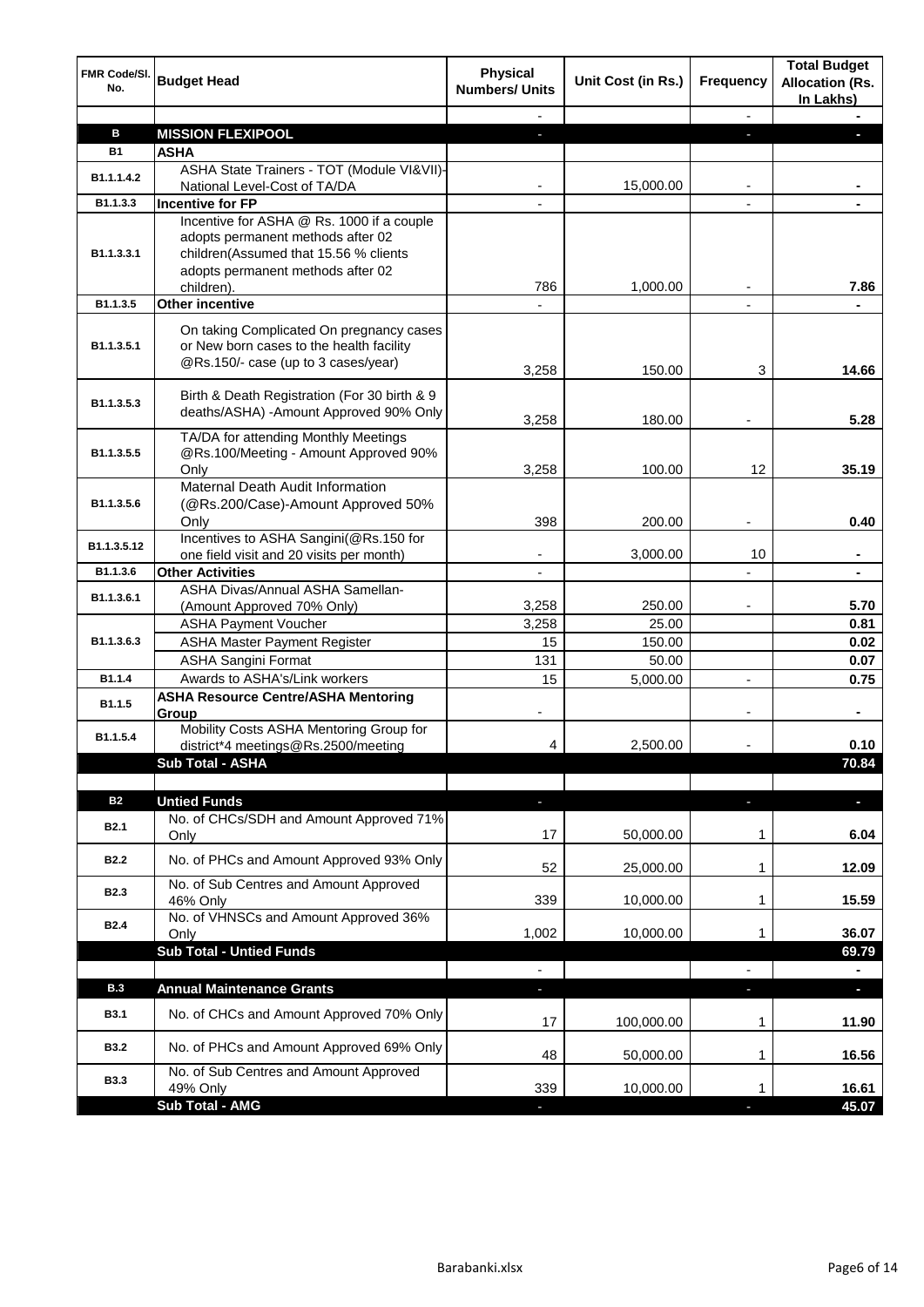| <b>FMR Code/SI.</b><br>No. | <b>Budget Head</b>                                                                                                                                                         | <b>Physical</b><br><b>Numbers/ Units</b> | Unit Cost (in Rs.) | Frequency      | <b>Total Budget</b><br><b>Allocation (Rs.</b><br>In Lakhs) |
|----------------------------|----------------------------------------------------------------------------------------------------------------------------------------------------------------------------|------------------------------------------|--------------------|----------------|------------------------------------------------------------|
|                            |                                                                                                                                                                            |                                          |                    | $\blacksquare$ |                                                            |
| в                          | <b>MISSION FLEXIPOOL</b>                                                                                                                                                   | ٠                                        |                    |                |                                                            |
| <b>B1</b>                  | <b>ASHA</b>                                                                                                                                                                |                                          |                    |                |                                                            |
| B1.1.1.4.2                 | ASHA State Trainers - TOT (Module VI&VII)-<br>National Level-Cost of TA/DA                                                                                                 |                                          | 15,000.00          |                |                                                            |
| B1.1.3.3                   | <b>Incentive for FP</b>                                                                                                                                                    |                                          |                    |                |                                                            |
| B1.1.3.3.1                 | Incentive for ASHA @ Rs. 1000 if a couple<br>adopts permanent methods after 02<br>children(Assumed that 15.56 % clients<br>adopts permanent methods after 02<br>children). | 786                                      | 1,000.00           |                | 7.86                                                       |
| B1.1.3.5                   | <b>Other incentive</b>                                                                                                                                                     |                                          |                    |                |                                                            |
| B1.1.3.5.1                 | On taking Complicated On pregnancy cases<br>or New born cases to the health facility<br>@Rs.150/- case (up to 3 cases/year)                                                | 3,258                                    | 150.00             | 3              | 14.66                                                      |
| B1.1.3.5.3                 | Birth & Death Registration (For 30 birth & 9<br>deaths/ASHA) - Amount Approved 90% Only                                                                                    | 3,258                                    | 180.00             |                | 5.28                                                       |
| B1.1.3.5.5                 | TA/DA for attending Monthly Meetings<br>@Rs.100/Meeting - Amount Approved 90%<br>Only                                                                                      | 3,258                                    | 100.00             | 12             | 35.19                                                      |
| B1.1.3.5.6                 | Maternal Death Audit Information<br>(@Rs.200/Case)-Amount Approved 50%<br>Only                                                                                             | 398                                      | 200.00             |                | 0.40                                                       |
| B1.1.3.5.12                | Incentives to ASHA Sangini(@Rs.150 for<br>one field visit and 20 visits per month)                                                                                         |                                          | 3,000.00           | 10             |                                                            |
| B1.1.3.6                   | <b>Other Activities</b>                                                                                                                                                    |                                          |                    |                |                                                            |
| B1.1.3.6.1                 | ASHA Divas/Annual ASHA Samellan-<br>(Amount Approved 70% Only)                                                                                                             | 3,258                                    | 250.00             |                | 5.70                                                       |
|                            | <b>ASHA Payment Voucher</b>                                                                                                                                                | 3,258                                    | 25.00              |                | 0.81                                                       |
| B1.1.3.6.3                 | <b>ASHA Master Payment Register</b>                                                                                                                                        | 15                                       | 150.00             |                | 0.02                                                       |
|                            | <b>ASHA Sangini Format</b>                                                                                                                                                 | 131                                      | 50.00              |                | 0.07                                                       |
| B1.1.4                     | Awards to ASHA's/Link workers                                                                                                                                              | 15                                       | 5,000.00           |                | 0.75                                                       |
| B1.1.5                     | <b>ASHA Resource Centre/ASHA Mentoring</b><br>Group                                                                                                                        |                                          |                    |                | ä,                                                         |
| B1.1.5.4                   | Mobility Costs ASHA Mentoring Group for<br>district*4 meetings@Rs.2500/meeting                                                                                             | 4                                        | 2,500.00           |                | 0.10                                                       |
|                            | Sub Total - ASHA                                                                                                                                                           |                                          |                    |                | 70.84                                                      |
|                            |                                                                                                                                                                            |                                          |                    |                |                                                            |
| <b>B2</b>                  | <b>Untied Funds</b>                                                                                                                                                        | J,                                       |                    | J,             | $\blacksquare$                                             |
| <b>B2.1</b>                | No. of CHCs/SDH and Amount Approved 71%<br>Only                                                                                                                            | 17                                       | 50,000.00          | 1              | 6.04                                                       |
| <b>B2.2</b>                | No. of PHCs and Amount Approved 93% Only                                                                                                                                   | 52                                       | 25,000.00          | 1              | 12.09                                                      |
| <b>B2.3</b>                | No. of Sub Centres and Amount Approved<br>46% Only                                                                                                                         | 339                                      | 10,000.00          | 1              | 15.59                                                      |
| <b>B2.4</b>                | No. of VHNSCs and Amount Approved 36%<br>Only                                                                                                                              | 1,002                                    | 10,000.00          | 1              | 36.07                                                      |
|                            | <b>Sub Total - Untied Funds</b>                                                                                                                                            |                                          |                    |                | 69.79                                                      |
| <b>B.3</b>                 |                                                                                                                                                                            | $\blacksquare$                           |                    | $\blacksquare$ |                                                            |
| <b>B3.1</b>                | <b>Annual Maintenance Grants</b><br>No. of CHCs and Amount Approved 70% Only                                                                                               | ٠<br>17                                  | 100,000.00         | ٠<br>1         | $\blacksquare$<br>11.90                                    |
| <b>B3.2</b>                | No. of PHCs and Amount Approved 69% Only                                                                                                                                   | 48                                       | 50,000.00          | 1              | 16.56                                                      |
| <b>B3.3</b>                | No. of Sub Centres and Amount Approved<br>49% Only                                                                                                                         | 339                                      | 10,000.00          | 1              | 16.61                                                      |
|                            | <b>Sub Total - AMG</b>                                                                                                                                                     |                                          |                    |                | 45.07                                                      |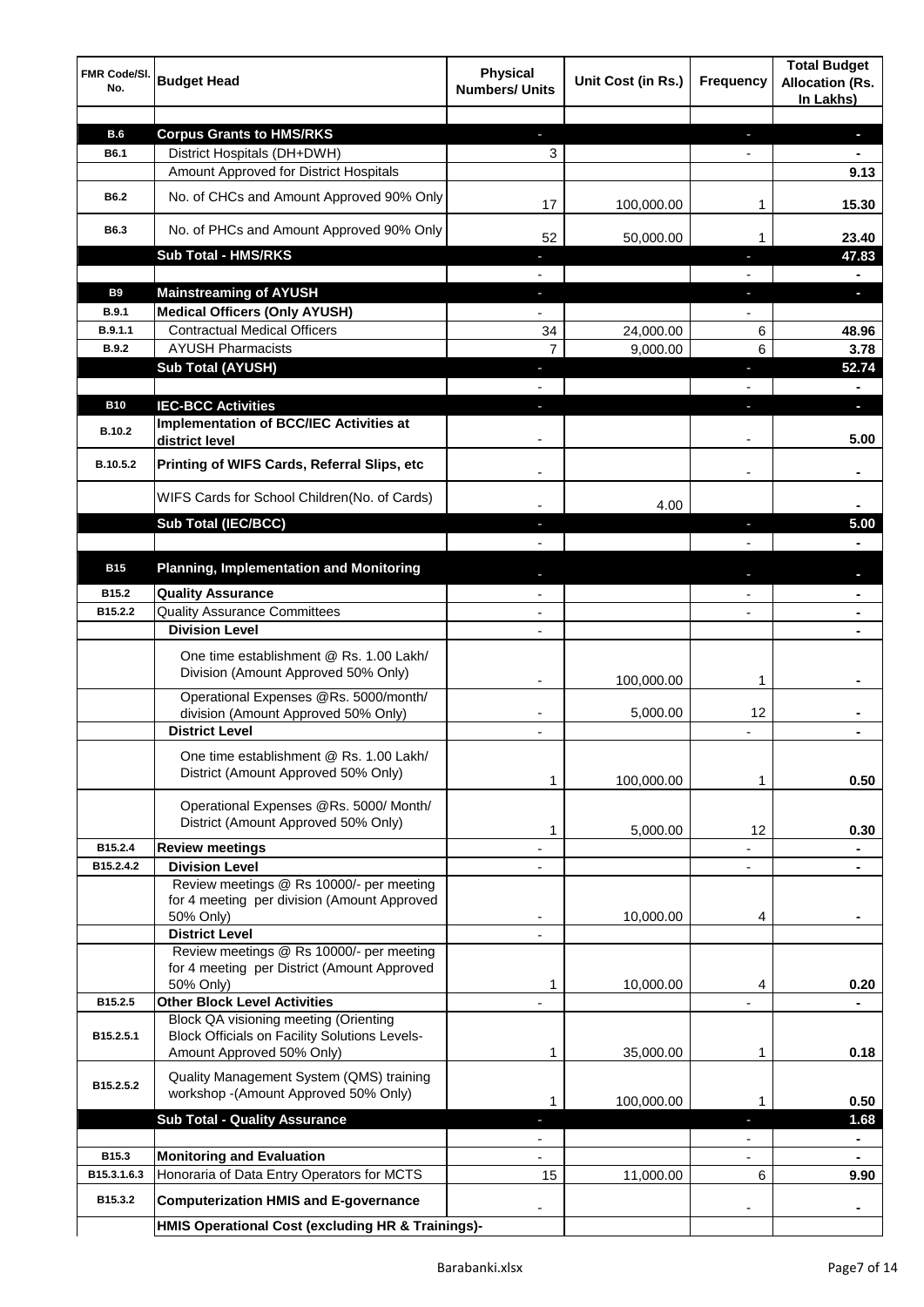| FMR Code/SI.<br>No. | <b>Budget Head</b>                                                                | <b>Physical</b><br><b>Numbers/ Units</b> | Unit Cost (in Rs.) | <b>Frequency</b>         | <b>Total Budget</b><br><b>Allocation (Rs.</b><br>In Lakhs) |
|---------------------|-----------------------------------------------------------------------------------|------------------------------------------|--------------------|--------------------------|------------------------------------------------------------|
|                     |                                                                                   |                                          |                    |                          |                                                            |
| <b>B.6</b>          | <b>Corpus Grants to HMS/RKS</b>                                                   | ÷.                                       |                    | ÷                        | $\blacksquare$                                             |
| B6.1                | District Hospitals (DH+DWH)                                                       | 3                                        |                    | $\overline{\phantom{a}}$ | $\blacksquare$                                             |
|                     | Amount Approved for District Hospitals                                            |                                          |                    |                          | 9.13                                                       |
| <b>B6.2</b>         | No. of CHCs and Amount Approved 90% Only                                          | 17                                       | 100,000.00         | 1                        | 15.30                                                      |
| B6.3                | No. of PHCs and Amount Approved 90% Only                                          | 52                                       | 50,000.00          | 1                        | 23.40                                                      |
|                     | <b>Sub Total - HMS/RKS</b>                                                        | ÷.                                       |                    | J,                       | 47.83                                                      |
|                     |                                                                                   |                                          |                    |                          | ٠                                                          |
| <b>B9</b>           | <b>Mainstreaming of AYUSH</b>                                                     | ÷.                                       |                    | ٠                        | $\blacksquare$                                             |
| <b>B.9.1</b>        | <b>Medical Officers (Only AYUSH)</b>                                              | $\overline{\phantom{0}}$                 |                    | $\overline{\phantom{a}}$ |                                                            |
| B.9.1.1             | <b>Contractual Medical Officers</b>                                               | 34                                       | 24,000.00          | 6                        | 48.96                                                      |
| <b>B.9.2</b>        | <b>AYUSH Pharmacists</b>                                                          | 7                                        | 9,000.00           | 6                        | 3.78                                                       |
|                     | <b>Sub Total (AYUSH)</b>                                                          | $\blacksquare$                           |                    | ٠                        | 52.74                                                      |
|                     |                                                                                   |                                          |                    |                          | $\blacksquare$                                             |
| <b>B10</b>          | <b>IEC-BCC Activities</b><br><b>Implementation of BCC/IEC Activities at</b>       |                                          |                    | ı                        | $\blacksquare$                                             |
| B.10.2              | district level                                                                    |                                          |                    |                          | 5.00                                                       |
| B.10.5.2            | Printing of WIFS Cards, Referral Slips, etc                                       |                                          |                    |                          | $\blacksquare$                                             |
|                     | WIFS Cards for School Children(No. of Cards)                                      |                                          | 4.00               |                          |                                                            |
|                     | <b>Sub Total (IEC/BCC)</b>                                                        |                                          |                    | T                        | 5.00                                                       |
|                     |                                                                                   |                                          |                    |                          |                                                            |
| <b>B15</b>          | <b>Planning, Implementation and Monitoring</b>                                    |                                          |                    |                          |                                                            |
| B15.2               | <b>Quality Assurance</b>                                                          |                                          |                    |                          |                                                            |
| B15.2.2             | <b>Quality Assurance Committees</b>                                               |                                          |                    |                          |                                                            |
|                     | <b>Division Level</b>                                                             |                                          |                    |                          |                                                            |
|                     |                                                                                   |                                          |                    |                          |                                                            |
|                     | One time establishment @ Rs. 1.00 Lakh/<br>Division (Amount Approved 50% Only)    |                                          |                    |                          |                                                            |
|                     |                                                                                   |                                          | 100,000.00         | 1                        |                                                            |
|                     | Operational Expenses @Rs. 5000/month/<br>division (Amount Approved 50% Only)      |                                          | 5,000.00           | 12                       |                                                            |
|                     | <b>District Level</b>                                                             | $\blacksquare$                           |                    |                          |                                                            |
|                     |                                                                                   |                                          |                    |                          |                                                            |
|                     | One time establishment @ Rs. 1.00 Lakh/                                           |                                          |                    |                          |                                                            |
|                     | District (Amount Approved 50% Only)                                               |                                          | 100,000.00         | 1                        | 0.50                                                       |
|                     | Operational Expenses @Rs. 5000/ Month/                                            |                                          |                    |                          |                                                            |
|                     | District (Amount Approved 50% Only)                                               |                                          |                    |                          |                                                            |
|                     |                                                                                   | 1                                        | 5,000.00           | 12                       | 0.30                                                       |
| B15.2.4             | <b>Review meetings</b><br><b>Division Level</b>                                   |                                          |                    |                          |                                                            |
| B15.2.4.2           | Review meetings @ Rs 10000/- per meeting                                          |                                          |                    | L,                       |                                                            |
|                     | for 4 meeting per division (Amount Approved                                       |                                          |                    |                          |                                                            |
|                     | 50% Only)                                                                         | -                                        | 10,000.00          | 4                        | ٠                                                          |
|                     | <b>District Level</b>                                                             |                                          |                    |                          |                                                            |
|                     | Review meetings @ Rs 10000/- per meeting                                          |                                          |                    |                          |                                                            |
|                     | for 4 meeting per District (Amount Approved                                       |                                          |                    |                          |                                                            |
|                     | 50% Only)                                                                         | 1                                        | 10,000.00          | 4                        | 0.20                                                       |
| B15.2.5             | <b>Other Block Level Activities</b>                                               |                                          |                    |                          |                                                            |
|                     | <b>Block QA visioning meeting (Orienting</b>                                      |                                          |                    |                          |                                                            |
| B15.2.5.1           | <b>Block Officials on Facility Solutions Levels-</b><br>Amount Approved 50% Only) | 1                                        | 35,000.00          | 1                        | 0.18                                                       |
|                     |                                                                                   |                                          |                    |                          |                                                            |
| B15.2.5.2           | Quality Management System (QMS) training                                          |                                          |                    |                          |                                                            |
|                     | workshop -(Amount Approved 50% Only)                                              | 1                                        | 100,000.00         | 1                        | 0.50                                                       |
|                     | <b>Sub Total - Quality Assurance</b>                                              | ı                                        |                    | J,                       | 1.68                                                       |
|                     |                                                                                   |                                          |                    |                          |                                                            |
| B <sub>15.3</sub>   | <b>Monitoring and Evaluation</b>                                                  |                                          |                    |                          |                                                            |
| B15.3.1.6.3         | Honoraria of Data Entry Operators for MCTS                                        | 15                                       | 11,000.00          | 6                        | 9.90                                                       |
| B15.3.2             | <b>Computerization HMIS and E-governance</b>                                      |                                          |                    |                          |                                                            |
|                     | HMIS Operational Cost (excluding HR & Trainings)-                                 |                                          |                    |                          |                                                            |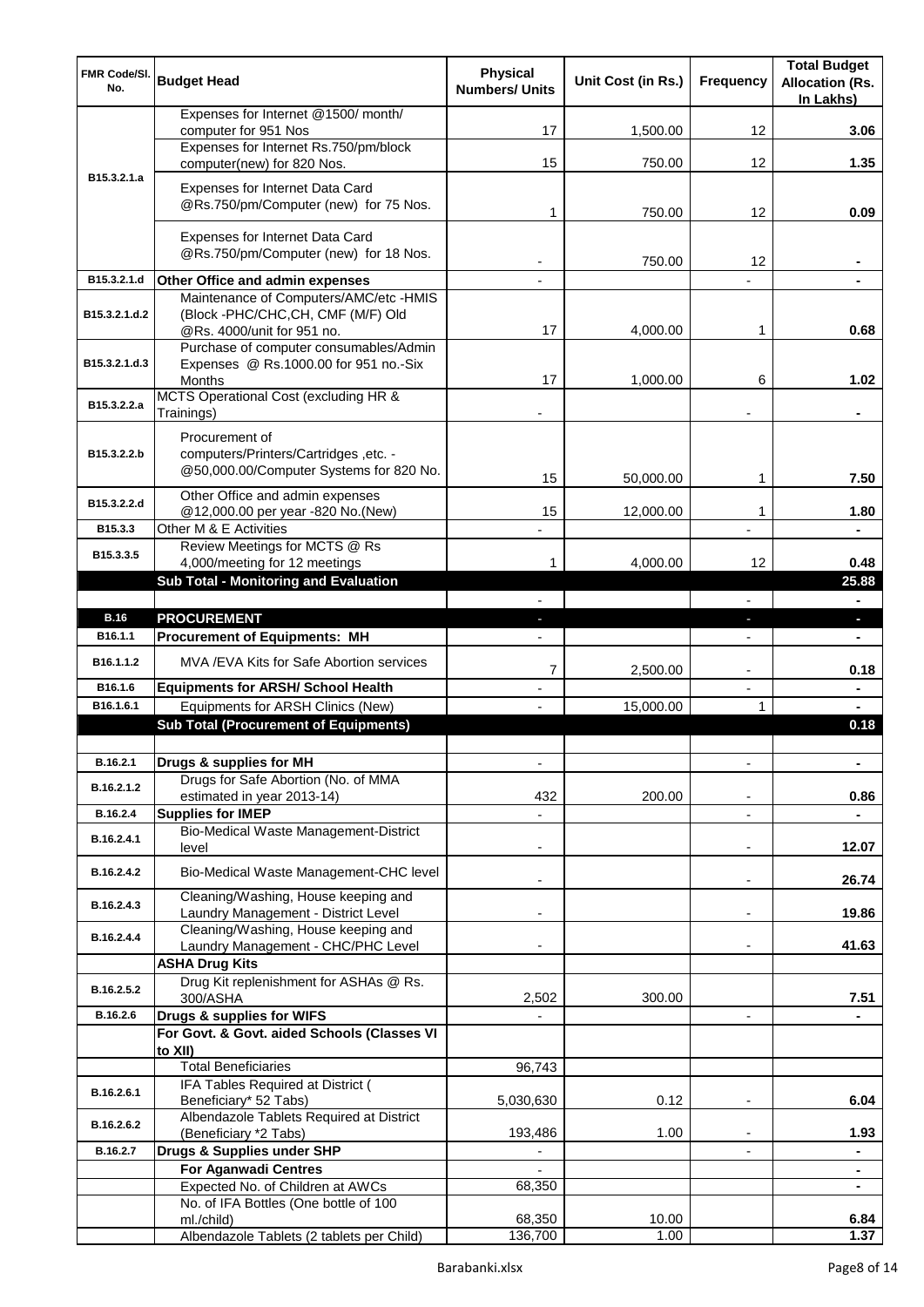| <b>FMR Code/SI.</b><br>No. | <b>Budget Head</b>                                                               | <b>Physical</b><br><b>Numbers/ Units</b> | Unit Cost (in Rs.) | <b>Frequency</b>         | <b>Total Budget</b><br><b>Allocation (Rs.</b><br>In Lakhs) |
|----------------------------|----------------------------------------------------------------------------------|------------------------------------------|--------------------|--------------------------|------------------------------------------------------------|
|                            | Expenses for Internet @1500/ month/<br>computer for 951 Nos                      | 17                                       | 1,500.00           | 12                       | 3.06                                                       |
|                            | Expenses for Internet Rs.750/pm/block                                            |                                          |                    |                          |                                                            |
| B <sub>15</sub> .3.2.1.a   | computer(new) for 820 Nos.                                                       | 15                                       | 750.00             | 12                       | 1.35                                                       |
|                            | Expenses for Internet Data Card<br>@Rs.750/pm/Computer (new) for 75 Nos.         |                                          | 750.00             | 12                       | 0.09                                                       |
|                            |                                                                                  | 1                                        |                    |                          |                                                            |
|                            | Expenses for Internet Data Card<br>@Rs.750/pm/Computer (new) for 18 Nos.         |                                          | 750.00             | 12                       |                                                            |
| B15.3.2.1.d                | Other Office and admin expenses                                                  |                                          |                    |                          |                                                            |
| B15.3.2.1.d.2              | Maintenance of Computers/AMC/etc -HMIS<br>(Block -PHC/CHC,CH, CMF (M/F) Old      |                                          |                    |                          |                                                            |
|                            | @Rs. 4000/unit for 951 no.<br>Purchase of computer consumables/Admin             | 17                                       | 4,000.00           | 1                        | 0.68                                                       |
| B15.3.2.1.d.3              | Expenses @ Rs.1000.00 for 951 no.-Six                                            |                                          |                    |                          |                                                            |
|                            | <b>Months</b>                                                                    | 17                                       | 1,000.00           | 6                        | 1.02                                                       |
| B15.3.2.2.a                | MCTS Operational Cost (excluding HR &<br>Trainings)                              |                                          |                    |                          | $\blacksquare$                                             |
|                            | Procurement of                                                                   |                                          |                    |                          |                                                            |
| B15.3.2.2.b                | computers/Printers/Cartridges, etc. -<br>@50,000.00/Computer Systems for 820 No. |                                          |                    |                          |                                                            |
|                            |                                                                                  | 15                                       | 50,000.00          | 1                        | 7.50                                                       |
| B15.3.2.2.d                | Other Office and admin expenses<br>@12,000.00 per year -820 No.(New)             | 15                                       | 12,000.00          | 1                        | 1.80                                                       |
| B15.3.3                    | Other M & E Activities                                                           |                                          |                    |                          |                                                            |
| B15.3.3.5                  | Review Meetings for MCTS @ Rs                                                    |                                          |                    |                          |                                                            |
|                            | 4,000/meeting for 12 meetings<br><b>Sub Total - Monitoring and Evaluation</b>    | 1                                        | 4,000.00           | 12                       | 0.48<br>25.88                                              |
|                            |                                                                                  |                                          |                    | L.                       | $\blacksquare$                                             |
| <b>B.16</b>                | <b>PROCUREMENT</b>                                                               |                                          |                    | н                        | $\blacksquare$                                             |
| B <sub>16.1.1</sub>        | <b>Procurement of Equipments: MH</b>                                             |                                          |                    | $\blacksquare$           | $\blacksquare$                                             |
| B16.1.1.2                  | MVA /EVA Kits for Safe Abortion services                                         | 7                                        | 2,500.00           |                          | 0.18                                                       |
| B16.1.6                    | <b>Equipments for ARSH/ School Health</b>                                        |                                          |                    | L,                       | $\blacksquare$                                             |
| B16.1.6.1                  | Equipments for ARSH Clinics (New)                                                |                                          | 15,000.00          |                          |                                                            |
|                            | <b>Sub Total (Procurement of Equipments)</b>                                     |                                          |                    |                          | 0.18                                                       |
| B.16.2.1                   | Drugs & supplies for MH                                                          | ٠                                        |                    | L,                       |                                                            |
| B.16.2.1.2                 | Drugs for Safe Abortion (No. of MMA<br>estimated in year 2013-14)                | 432                                      | 200.00             |                          | 0.86                                                       |
| B.16.2.4                   | <b>Supplies for IMEP</b>                                                         |                                          |                    | ÷,                       |                                                            |
| B.16.2.4.1                 | Bio-Medical Waste Management-District<br>level                                   |                                          |                    |                          | 12.07                                                      |
| B.16.2.4.2                 | Bio-Medical Waste Management-CHC level                                           |                                          |                    | ٠                        | 26.74                                                      |
| B.16.2.4.3                 | Cleaning/Washing, House keeping and<br>Laundry Management - District Level       |                                          |                    | ٠                        | 19.86                                                      |
| B.16.2.4.4                 | Cleaning/Washing, House keeping and<br>Laundry Management - CHC/PHC Level        |                                          |                    |                          | 41.63                                                      |
|                            | <b>ASHA Drug Kits</b>                                                            |                                          |                    |                          |                                                            |
| B.16.2.5.2                 | Drug Kit replenishment for ASHAs @ Rs.<br>300/ASHA                               | 2,502                                    | 300.00             |                          | 7.51                                                       |
| B.16.2.6                   | Drugs & supplies for WIFS                                                        |                                          |                    | $\overline{\phantom{0}}$ |                                                            |
|                            | For Govt. & Govt. aided Schools (Classes VI<br>to XII)                           |                                          |                    |                          |                                                            |
|                            | <b>Total Beneficiaries</b>                                                       | 96,743                                   |                    |                          |                                                            |
| B.16.2.6.1                 | IFA Tables Required at District (<br>Beneficiary* 52 Tabs)                       | 5,030,630                                | 0.12               | ٠                        | 6.04                                                       |
| B.16.2.6.2                 | Albendazole Tablets Required at District<br>(Beneficiary *2 Tabs)                | 193,486                                  | 1.00               |                          | 1.93                                                       |
| B.16.2.7                   | Drugs & Supplies under SHP                                                       |                                          |                    |                          |                                                            |
|                            | <b>For Aganwadi Centres</b>                                                      |                                          |                    |                          |                                                            |
|                            | Expected No. of Children at AWCs<br>No. of IFA Bottles (One bottle of 100        | 68,350                                   |                    |                          | $\blacksquare$                                             |
|                            | ml./child)                                                                       | 68,350                                   | 10.00              |                          | 6.84                                                       |
|                            | Albendazole Tablets (2 tablets per Child)                                        | 136,700                                  | 1.00               |                          | 1.37                                                       |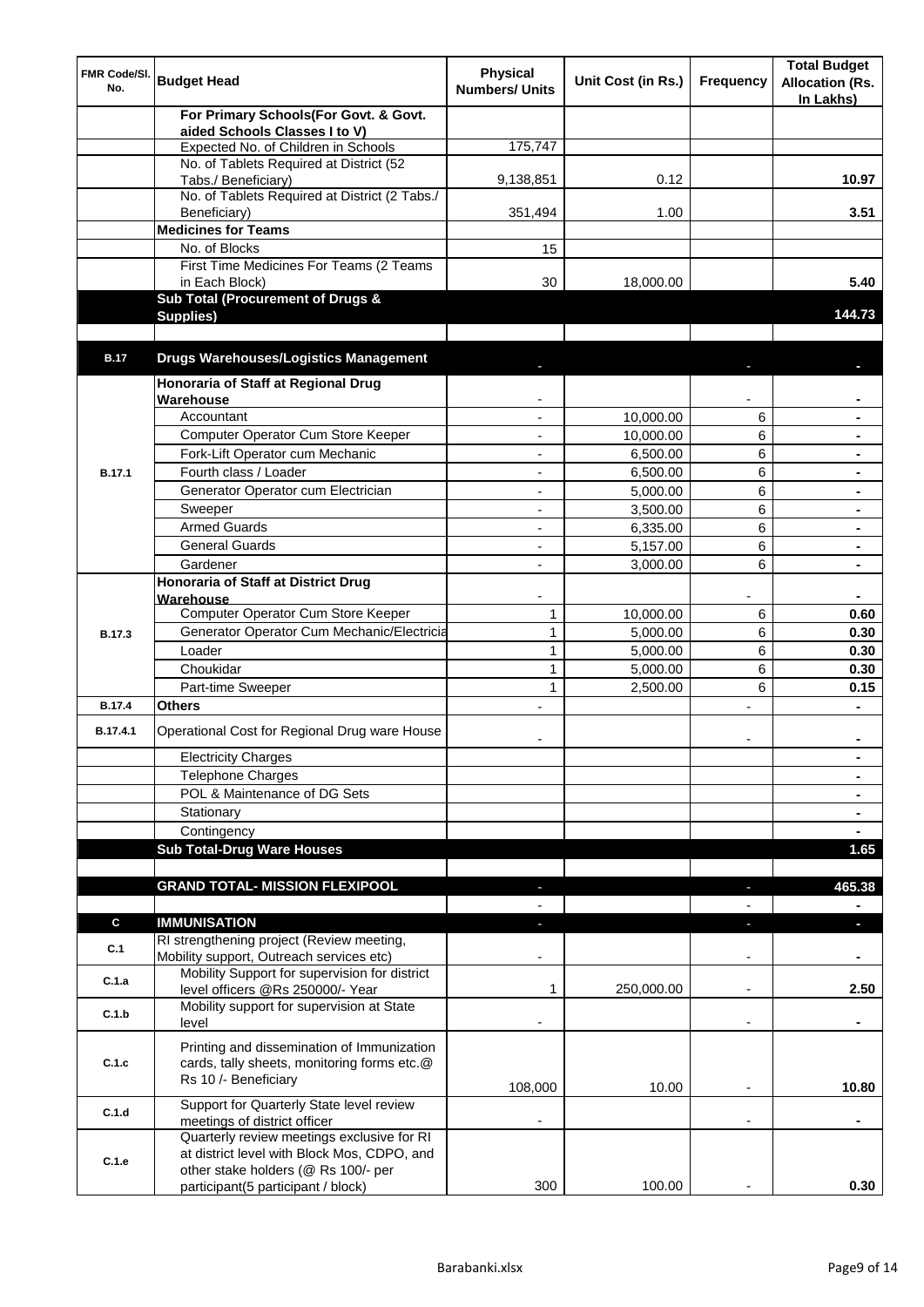| <b>FMR Code/SI.</b><br>No. | <b>Budget Head</b>                                                                                                               | <b>Physical</b><br><b>Numbers/ Units</b> | Unit Cost (in Rs.) | <b>Frequency</b>         | <b>Total Budget</b><br><b>Allocation (Rs.</b><br>In Lakhs) |
|----------------------------|----------------------------------------------------------------------------------------------------------------------------------|------------------------------------------|--------------------|--------------------------|------------------------------------------------------------|
|                            | For Primary Schools(For Govt. & Govt.                                                                                            |                                          |                    |                          |                                                            |
|                            | aided Schools Classes I to V)<br>Expected No. of Children in Schools                                                             | 175,747                                  |                    |                          |                                                            |
|                            | No. of Tablets Required at District (52                                                                                          |                                          |                    |                          |                                                            |
|                            | Tabs./ Beneficiary)                                                                                                              | 9,138,851                                | 0.12               |                          | 10.97                                                      |
|                            | No. of Tablets Required at District (2 Tabs./                                                                                    |                                          |                    |                          |                                                            |
|                            | Beneficiary)                                                                                                                     | 351,494                                  | 1.00               |                          | 3.51                                                       |
|                            | <b>Medicines for Teams</b>                                                                                                       |                                          |                    |                          |                                                            |
|                            | No. of Blocks                                                                                                                    | 15                                       |                    |                          |                                                            |
|                            | First Time Medicines For Teams (2 Teams<br>in Each Block)                                                                        | 30                                       | 18,000.00          |                          | 5.40                                                       |
|                            | Sub Total (Procurement of Drugs &                                                                                                |                                          |                    |                          |                                                            |
|                            | Supplies)                                                                                                                        |                                          |                    |                          | 144.73                                                     |
|                            |                                                                                                                                  |                                          |                    |                          |                                                            |
| <b>B.17</b>                | <b>Drugs Warehouses/Logistics Management</b>                                                                                     |                                          |                    |                          |                                                            |
|                            | Honoraria of Staff at Regional Drug                                                                                              |                                          |                    |                          |                                                            |
|                            | Warehouse                                                                                                                        |                                          |                    |                          |                                                            |
|                            | Accountant                                                                                                                       |                                          | 10,000.00          | 6                        |                                                            |
|                            | Computer Operator Cum Store Keeper                                                                                               | $\overline{a}$                           | 10,000.00          | 6                        |                                                            |
|                            | Fork-Lift Operator cum Mechanic                                                                                                  | ٠                                        | 6,500.00           | 6                        |                                                            |
| <b>B.17.1</b>              | Fourth class / Loader                                                                                                            | ٠                                        | 6,500.00           | 6                        |                                                            |
|                            | Generator Operator cum Electrician                                                                                               | L,                                       | 5,000.00           | 6                        | $\blacksquare$                                             |
|                            | Sweeper                                                                                                                          | ٠                                        | 3,500.00           | 6                        |                                                            |
|                            | <b>Armed Guards</b>                                                                                                              |                                          | 6,335.00           | 6                        |                                                            |
|                            | <b>General Guards</b>                                                                                                            |                                          | 5,157.00           | 6                        |                                                            |
|                            | Gardener                                                                                                                         |                                          | 3,000.00           | 6                        |                                                            |
|                            | Honoraria of Staff at District Drug<br>Warehouse                                                                                 |                                          |                    |                          |                                                            |
|                            | Computer Operator Cum Store Keeper                                                                                               | 1                                        | 10,000.00          | 6                        | 0.60                                                       |
| B.17.3                     | Generator Operator Cum Mechanic/Electricia                                                                                       | $\mathbf{1}$                             | 5,000.00           | 6                        | 0.30                                                       |
|                            | Loader                                                                                                                           | $\mathbf{1}$                             | 5,000.00           | 6                        | 0.30                                                       |
|                            | Choukidar                                                                                                                        | $\mathbf{1}$                             | 5,000.00           | 6                        | 0.30                                                       |
|                            | Part-time Sweeper                                                                                                                | $\mathbf{1}$                             | 2,500.00           | 6                        | 0.15                                                       |
| <b>B.17.4</b>              | <b>Others</b>                                                                                                                    |                                          |                    |                          |                                                            |
| B.17.4.1                   | Operational Cost for Regional Drug ware House                                                                                    |                                          |                    |                          |                                                            |
|                            | <b>Electricity Charges</b>                                                                                                       |                                          |                    |                          | ۰                                                          |
|                            | <b>Telephone Charges</b>                                                                                                         |                                          |                    |                          | ۰                                                          |
|                            | POL & Maintenance of DG Sets                                                                                                     |                                          |                    |                          | $\blacksquare$                                             |
|                            | Stationary                                                                                                                       |                                          |                    |                          | $\blacksquare$                                             |
|                            | Contingency                                                                                                                      |                                          |                    |                          | $\blacksquare$                                             |
|                            | <b>Sub Total-Drug Ware Houses</b>                                                                                                |                                          |                    |                          | 1.65                                                       |
|                            | <b>GRAND TOTAL- MISSION FLEXIPOOL</b>                                                                                            | ٠                                        |                    | $\blacksquare$           | 465.38                                                     |
|                            |                                                                                                                                  |                                          |                    |                          | $\blacksquare$                                             |
| C                          | <b>IMMUNISATION</b>                                                                                                              | ٠                                        |                    | L                        | п                                                          |
| C.1                        | RI strengthening project (Review meeting,<br>Mobility support, Outreach services etc)                                            |                                          |                    | $\overline{\phantom{a}}$ |                                                            |
| C.1.a                      | Mobility Support for supervision for district<br>level officers @Rs 250000/- Year                                                | 1                                        | 250,000.00         | $\overline{\phantom{a}}$ | 2.50                                                       |
| C.1.b                      | Mobility support for supervision at State<br>level                                                                               |                                          |                    | $\blacksquare$           |                                                            |
| C.1.c                      | Printing and dissemination of Immunization<br>cards, tally sheets, monitoring forms etc.@<br>Rs 10 /- Beneficiary                |                                          |                    |                          |                                                            |
|                            |                                                                                                                                  | 108,000                                  | 10.00              |                          | 10.80                                                      |
| C.1.d                      | Support for Quarterly State level review<br>meetings of district officer                                                         |                                          |                    |                          |                                                            |
| C.1.e                      | Quarterly review meetings exclusive for RI<br>at district level with Block Mos, CDPO, and<br>other stake holders (@ Rs 100/- per |                                          |                    |                          |                                                            |
|                            | participant(5 participant / block)                                                                                               | 300                                      | 100.00             |                          | 0.30                                                       |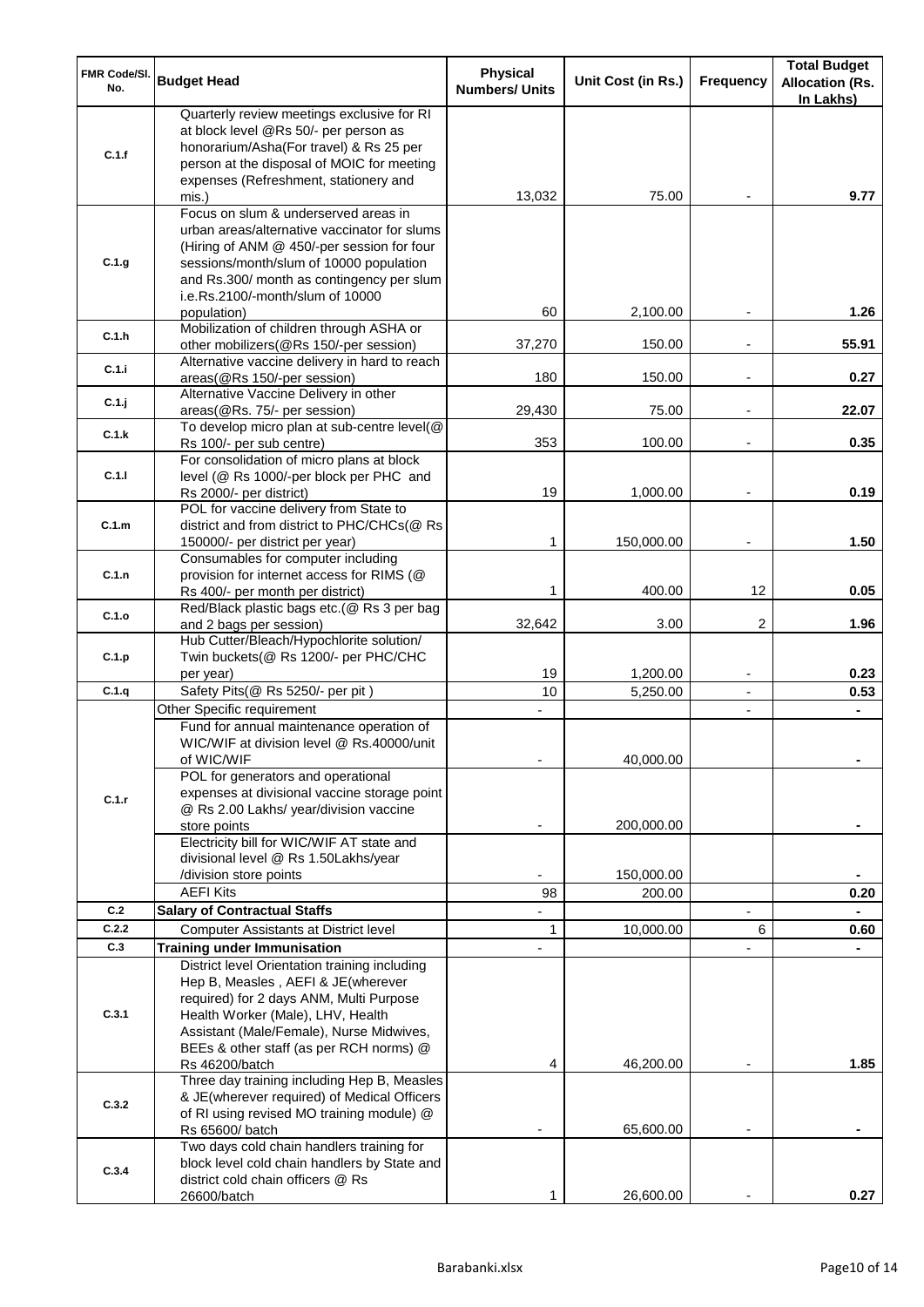| FMR Code/SI.<br>No. | <b>Budget Head</b>                                                                                                                                                                                                                                                            | <b>Physical</b><br><b>Numbers/ Units</b> | Unit Cost (in Rs.) | <b>Frequency</b> | <b>Total Budget</b><br><b>Allocation (Rs.</b><br>In Lakhs) |
|---------------------|-------------------------------------------------------------------------------------------------------------------------------------------------------------------------------------------------------------------------------------------------------------------------------|------------------------------------------|--------------------|------------------|------------------------------------------------------------|
| C.1.f               | Quarterly review meetings exclusive for RI<br>at block level @Rs 50/- per person as<br>honorarium/Asha(For travel) & Rs 25 per<br>person at the disposal of MOIC for meeting<br>expenses (Refreshment, stationery and                                                         |                                          |                    |                  |                                                            |
|                     | mis.)                                                                                                                                                                                                                                                                         | 13,032                                   | 75.00              |                  | 9.77                                                       |
| C.1.g               | Focus on slum & underserved areas in<br>urban areas/alternative vaccinator for slums<br>(Hiring of ANM @ 450/-per session for four<br>sessions/month/slum of 10000 population<br>and Rs.300/ month as contingency per slum<br>i.e.Rs.2100/-month/slum of 10000<br>population) | 60                                       | 2,100.00           |                  | 1.26                                                       |
| C.1.h               | Mobilization of children through ASHA or<br>other mobilizers(@Rs 150/-per session)                                                                                                                                                                                            | 37,270                                   | 150.00             |                  | 55.91                                                      |
| C.1.i               | Alternative vaccine delivery in hard to reach<br>areas(@Rs 150/-per session)                                                                                                                                                                                                  | 180                                      | 150.00             |                  | 0.27                                                       |
| C.1.j               | Alternative Vaccine Delivery in other<br>areas(@Rs. 75/- per session)                                                                                                                                                                                                         | 29,430                                   | 75.00              |                  | 22.07                                                      |
| C.1.k               | To develop micro plan at sub-centre level(@                                                                                                                                                                                                                                   |                                          |                    |                  |                                                            |
|                     | Rs 100/- per sub centre)<br>For consolidation of micro plans at block                                                                                                                                                                                                         | 353                                      | 100.00             |                  | 0.35                                                       |
| C.1.1               | level (@ Rs 1000/-per block per PHC and<br>Rs 2000/- per district)                                                                                                                                                                                                            | 19                                       | 1,000.00           |                  | 0.19                                                       |
|                     | POL for vaccine delivery from State to                                                                                                                                                                                                                                        |                                          |                    |                  |                                                            |
| C.1.m               | district and from district to PHC/CHCs(@ Rs                                                                                                                                                                                                                                   |                                          |                    |                  |                                                            |
|                     | 150000/- per district per year)<br>Consumables for computer including                                                                                                                                                                                                         | $\mathbf 1$                              | 150,000.00         |                  | 1.50                                                       |
| C.1.n               | provision for internet access for RIMS (@                                                                                                                                                                                                                                     |                                          |                    |                  |                                                            |
|                     | Rs 400/- per month per district)                                                                                                                                                                                                                                              | 1                                        | 400.00             | 12               | 0.05                                                       |
| C.1.o               | Red/Black plastic bags etc.(@ Rs 3 per bag                                                                                                                                                                                                                                    | 32,642                                   | 3.00               | $\overline{2}$   | 1.96                                                       |
| C.1.p               | and 2 bags per session)<br>Hub Cutter/Bleach/Hypochlorite solution/<br>Twin buckets(@ Rs 1200/- per PHC/CHC                                                                                                                                                                   |                                          |                    |                  |                                                            |
|                     | per year)                                                                                                                                                                                                                                                                     | 19                                       | 1,200.00           | $\blacksquare$   | 0.23                                                       |
| C.1.q               | Safety Pits(@ Rs 5250/- per pit)                                                                                                                                                                                                                                              | 10                                       | 5,250.00           | $\blacksquare$   | 0.53                                                       |
|                     | Other Specific requirement                                                                                                                                                                                                                                                    | $\overline{\phantom{a}}$                 |                    | ۰                | $\blacksquare$                                             |
|                     | Fund for annual maintenance operation of<br>WIC/WIF at division level @ Rs.40000/unit<br>of WIC/WIF                                                                                                                                                                           |                                          | 40,000.00          |                  |                                                            |
| C.1.r               | POL for generators and operational<br>expenses at divisional vaccine storage point<br>@ Rs 2.00 Lakhs/ year/division vaccine<br>store points                                                                                                                                  |                                          | 200,000.00         |                  |                                                            |
|                     | Electricity bill for WIC/WIF AT state and<br>divisional level @ Rs 1.50Lakhs/year                                                                                                                                                                                             |                                          |                    |                  |                                                            |
|                     | /division store points                                                                                                                                                                                                                                                        |                                          | 150,000.00         |                  |                                                            |
| C.2                 | <b>AEFI Kits</b>                                                                                                                                                                                                                                                              | 98                                       | 200.00             |                  | 0.20                                                       |
| C.2.2               | <b>Salary of Contractual Staffs</b><br><b>Computer Assistants at District level</b>                                                                                                                                                                                           | $\mathbf{1}$                             | 10,000.00          | 6                | 0.60                                                       |
| C.3                 | <b>Training under Immunisation</b>                                                                                                                                                                                                                                            |                                          |                    |                  |                                                            |
| C.3.1               | District level Orientation training including<br>Hep B, Measles, AEFI & JE(wherever<br>required) for 2 days ANM, Multi Purpose<br>Health Worker (Male), LHV, Health<br>Assistant (Male/Female), Nurse Midwives,                                                               |                                          |                    |                  |                                                            |
|                     | BEEs & other staff (as per RCH norms) @<br>Rs 46200/batch                                                                                                                                                                                                                     | 4                                        | 46,200.00          |                  | 1.85                                                       |
| C.3.2               | Three day training including Hep B, Measles<br>& JE(wherever required) of Medical Officers<br>of RI using revised MO training module) @<br>Rs 65600/ batch                                                                                                                    |                                          | 65,600.00          |                  |                                                            |
| C.3.4               | Two days cold chain handlers training for<br>block level cold chain handlers by State and                                                                                                                                                                                     |                                          |                    |                  |                                                            |
|                     | district cold chain officers @ Rs<br>26600/batch                                                                                                                                                                                                                              | 1                                        | 26,600.00          |                  | 0.27                                                       |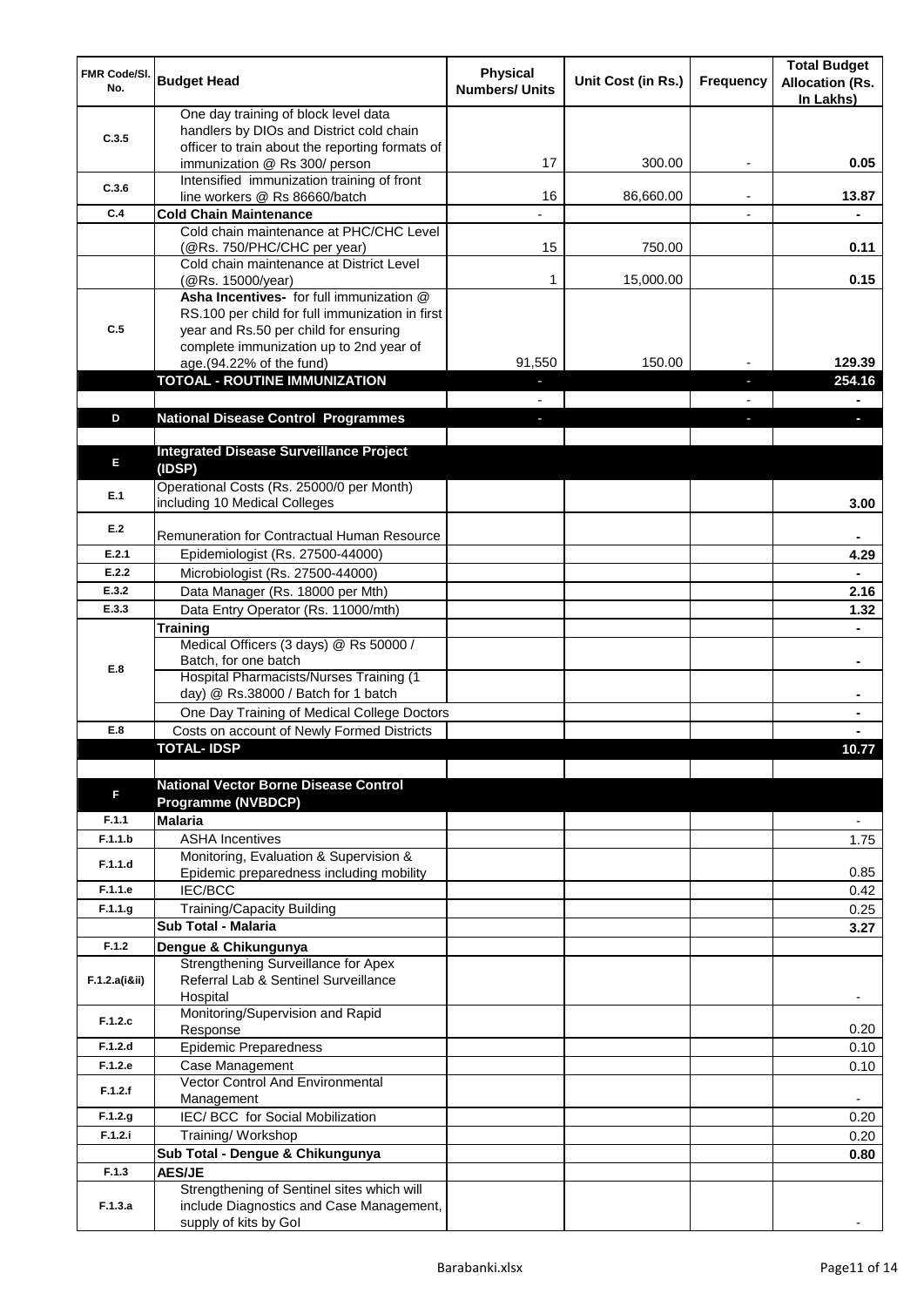| <b>FMR Code/SI.</b><br>No. | <b>Budget Head</b>                                                               | <b>Physical</b><br><b>Numbers/ Units</b> | Unit Cost (in Rs.) | <b>Frequency</b> | <b>Total Budget</b><br><b>Allocation (Rs.</b><br>In Lakhs) |
|----------------------------|----------------------------------------------------------------------------------|------------------------------------------|--------------------|------------------|------------------------------------------------------------|
| C.3.5                      | One day training of block level data<br>handlers by DIOs and District cold chain |                                          |                    |                  |                                                            |
|                            | officer to train about the reporting formats of<br>immunization @ Rs 300/ person | 17                                       | 300.00             |                  | 0.05                                                       |
| C.3.6                      | Intensified immunization training of front                                       | 16                                       | 86,660.00          |                  | 13.87                                                      |
| C.4                        | line workers @ Rs 86660/batch<br><b>Cold Chain Maintenance</b>                   |                                          |                    |                  |                                                            |
|                            | Cold chain maintenance at PHC/CHC Level                                          |                                          |                    |                  |                                                            |
|                            | (@Rs. 750/PHC/CHC per year)                                                      | 15                                       | 750.00             |                  | 0.11                                                       |
|                            | Cold chain maintenance at District Level<br>(@Rs. 15000/year)                    | 1                                        | 15,000.00          |                  | 0.15                                                       |
|                            | Asha Incentives- for full immunization @                                         |                                          |                    |                  |                                                            |
| C.5                        | RS.100 per child for full immunization in first                                  |                                          |                    |                  |                                                            |
|                            | year and Rs.50 per child for ensuring<br>complete immunization up to 2nd year of |                                          |                    |                  |                                                            |
|                            | age.(94.22% of the fund)                                                         | 91,550                                   | 150.00             |                  | 129.39                                                     |
|                            | <b>TOTOAL - ROUTINE IMMUNIZATION</b>                                             |                                          |                    |                  | 254.16                                                     |
|                            |                                                                                  |                                          |                    |                  |                                                            |
| D                          | <b>National Disease Control Programmes</b>                                       |                                          |                    |                  |                                                            |
| E                          | <b>Integrated Disease Surveillance Project</b><br>(IDSP)                         |                                          |                    |                  |                                                            |
| E.1                        | Operational Costs (Rs. 25000/0 per Month)<br>including 10 Medical Colleges       |                                          |                    |                  | 3.00                                                       |
| E.2                        | Remuneration for Contractual Human Resource                                      |                                          |                    |                  |                                                            |
| E.2.1                      | Epidemiologist (Rs. 27500-44000)                                                 |                                          |                    |                  | 4.29                                                       |
| E.2.2                      | Microbiologist (Rs. 27500-44000)                                                 |                                          |                    |                  |                                                            |
| E.3.2                      | Data Manager (Rs. 18000 per Mth)                                                 |                                          |                    |                  | 2.16                                                       |
| E.3.3                      | Data Entry Operator (Rs. 11000/mth)                                              |                                          |                    |                  | 1.32                                                       |
|                            | Training<br>Medical Officers (3 days) @ Rs 50000 /                               |                                          |                    |                  |                                                            |
|                            | Batch, for one batch                                                             |                                          |                    |                  | ۰                                                          |
| E.8                        | Hospital Pharmacists/Nurses Training (1                                          |                                          |                    |                  |                                                            |
|                            | day) @ Rs.38000 / Batch for 1 batch                                              |                                          |                    |                  |                                                            |
| E.8                        | One Day Training of Medical College Doctors                                      |                                          |                    |                  |                                                            |
|                            | Costs on account of Newly Formed Districts<br>TOTAI - IDSP                       |                                          |                    |                  | 10.77                                                      |
|                            |                                                                                  |                                          |                    |                  |                                                            |
| F                          | <b>National Vector Borne Disease Control</b>                                     |                                          |                    |                  |                                                            |
| F.1.1                      | <b>Programme (NVBDCP)</b><br><b>Malaria</b>                                      |                                          |                    |                  | $\overline{\phantom{a}}$                                   |
| F.1.1.b                    | <b>ASHA Incentives</b>                                                           |                                          |                    |                  | 1.75                                                       |
| F.1.1.d                    | Monitoring, Evaluation & Supervision &                                           |                                          |                    |                  |                                                            |
|                            | Epidemic preparedness including mobility                                         |                                          |                    |                  | 0.85                                                       |
| F.1.1.e<br>F.1.1.g         | <b>IEC/BCC</b>                                                                   |                                          |                    |                  | 0.42                                                       |
|                            | Training/Capacity Building<br>Sub Total - Malaria                                |                                          |                    |                  | 0.25<br>3.27                                               |
| F.1.2                      | Dengue & Chikungunya                                                             |                                          |                    |                  |                                                            |
|                            | Strengthening Surveillance for Apex                                              |                                          |                    |                  |                                                            |
| F.1.2.a(iⅈ)                | Referral Lab & Sentinel Surveillance<br>Hospital                                 |                                          |                    |                  |                                                            |
|                            | Monitoring/Supervision and Rapid                                                 |                                          |                    |                  |                                                            |
| F.1.2.c                    | Response                                                                         |                                          |                    |                  | 0.20                                                       |
| F.1.2.d                    | Epidemic Preparedness                                                            |                                          |                    |                  | 0.10                                                       |
| F.1.2.e                    | Case Management<br><b>Vector Control And Environmental</b>                       |                                          |                    |                  | 0.10                                                       |
| F.1.2.f                    | Management                                                                       |                                          |                    |                  |                                                            |
| F.1.2.g                    | IEC/ BCC for Social Mobilization                                                 |                                          |                    |                  | 0.20                                                       |
| F.1.2.i                    | Training/Workshop                                                                |                                          |                    |                  | 0.20                                                       |
|                            | Sub Total - Dengue & Chikungunya                                                 |                                          |                    |                  | 0.80                                                       |
| F.1.3                      | <b>AES/JE</b><br>Strengthening of Sentinel sites which will                      |                                          |                    |                  |                                                            |
| F.1.3.a                    | include Diagnostics and Case Management,                                         |                                          |                    |                  |                                                            |
|                            | supply of kits by Gol                                                            |                                          |                    |                  |                                                            |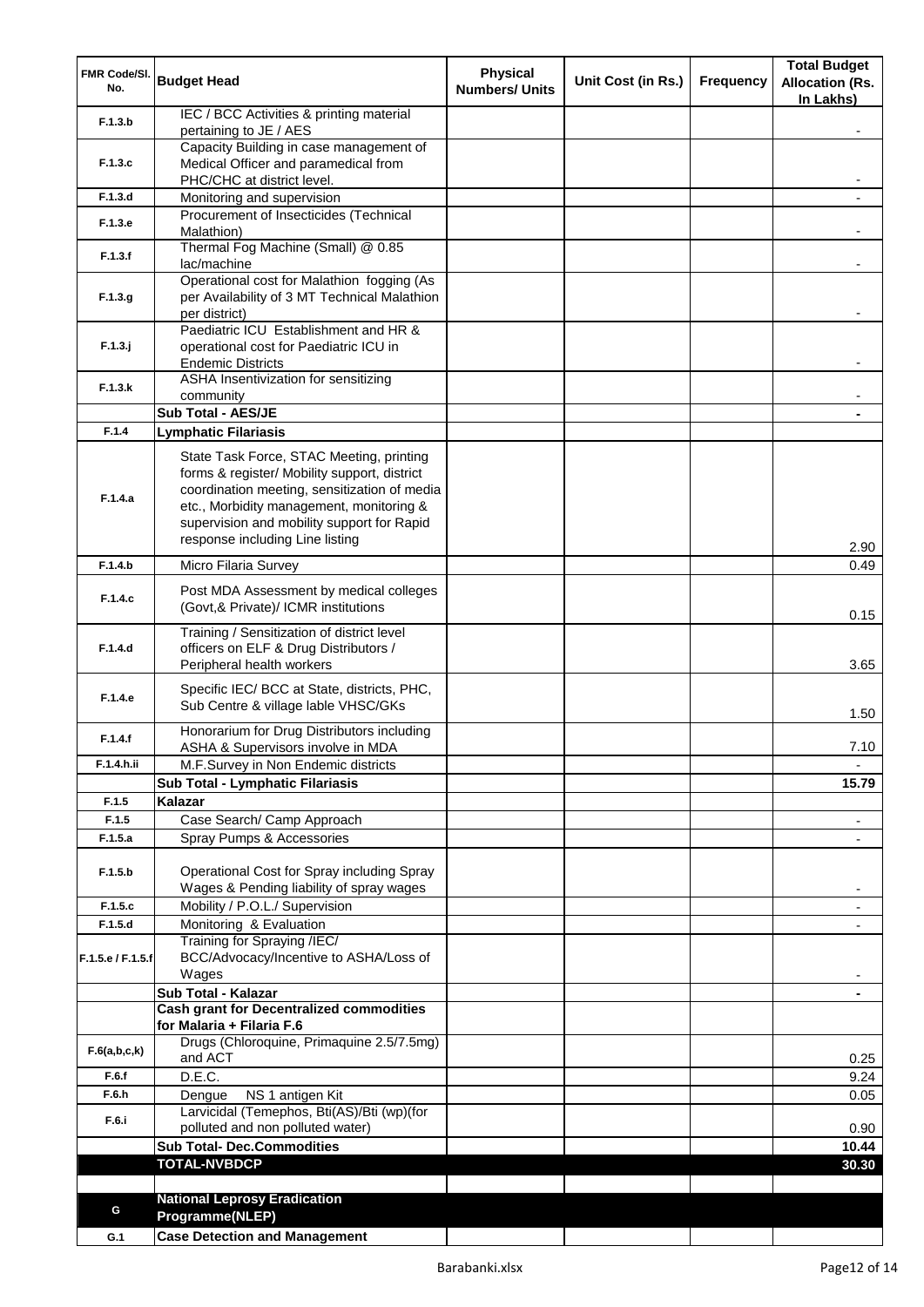| FMR Code/SI.<br>No. | <b>Budget Head</b>                                                                     | <b>Physical</b><br><b>Numbers/ Units</b> | Unit Cost (in Rs.) | <b>Frequency</b> | <b>Total Budget</b><br><b>Allocation (Rs.</b><br>In Lakhs) |
|---------------------|----------------------------------------------------------------------------------------|------------------------------------------|--------------------|------------------|------------------------------------------------------------|
| F.1.3.b             | IEC / BCC Activities & printing material<br>pertaining to JE / AES                     |                                          |                    |                  |                                                            |
|                     | Capacity Building in case management of                                                |                                          |                    |                  |                                                            |
| F.1.3.c             | Medical Officer and paramedical from                                                   |                                          |                    |                  |                                                            |
| F.1.3.d             | PHC/CHC at district level.<br>Monitoring and supervision                               |                                          |                    |                  |                                                            |
|                     | Procurement of Insecticides (Technical                                                 |                                          |                    |                  |                                                            |
| F.1.3.e             | Malathion)                                                                             |                                          |                    |                  |                                                            |
| F.1.3.f             | Thermal Fog Machine (Small) @ 0.85<br>lac/machine                                      |                                          |                    |                  |                                                            |
|                     | Operational cost for Malathion fogging (As                                             |                                          |                    |                  |                                                            |
| F.1.3.g             | per Availability of 3 MT Technical Malathion                                           |                                          |                    |                  |                                                            |
|                     | per district)<br>Paediatric ICU Establishment and HR &                                 |                                          |                    |                  |                                                            |
| $F.1.3.$ j          | operational cost for Paediatric ICU in                                                 |                                          |                    |                  |                                                            |
|                     | <b>Endemic Districts</b>                                                               |                                          |                    |                  |                                                            |
| F.1.3.k             | ASHA Insentivization for sensitizing                                                   |                                          |                    |                  |                                                            |
|                     | community<br>Sub Total - AES/JE                                                        |                                          |                    |                  |                                                            |
| F.1.4               | <b>Lymphatic Filariasis</b>                                                            |                                          |                    |                  |                                                            |
|                     | State Task Force, STAC Meeting, printing                                               |                                          |                    |                  |                                                            |
|                     | forms & register/ Mobility support, district                                           |                                          |                    |                  |                                                            |
| F.1.4.a             | coordination meeting, sensitization of media                                           |                                          |                    |                  |                                                            |
|                     | etc., Morbidity management, monitoring &                                               |                                          |                    |                  |                                                            |
|                     | supervision and mobility support for Rapid<br>response including Line listing          |                                          |                    |                  |                                                            |
| F.1.4.b             |                                                                                        |                                          |                    |                  | 2.90                                                       |
|                     | Micro Filaria Survey                                                                   |                                          |                    |                  | 0.49                                                       |
| F.1.4.c             | Post MDA Assessment by medical colleges<br>(Govt,& Private)/ ICMR institutions         |                                          |                    |                  | 0.15                                                       |
|                     | Training / Sensitization of district level                                             |                                          |                    |                  |                                                            |
| F.1.4.d             | officers on ELF & Drug Distributors /<br>Peripheral health workers                     |                                          |                    |                  | 3.65                                                       |
|                     |                                                                                        |                                          |                    |                  |                                                            |
| F.1.4.e             | Specific IEC/ BCC at State, districts, PHC,<br>Sub Centre & village lable VHSC/GKs     |                                          |                    |                  | 1.50                                                       |
| F.1.4.f             | Honorarium for Drug Distributors including                                             |                                          |                    |                  |                                                            |
| F.1.4.h.ii          | ASHA & Supervisors involve in MDA                                                      |                                          |                    |                  | 7.10                                                       |
|                     | M.F.Survey in Non Endemic districts<br>Sub Total - Lymphatic Filariasis                |                                          |                    |                  | 15.79                                                      |
| F.1.5               | Kalazar                                                                                |                                          |                    |                  |                                                            |
| F.1.5               | Case Search/ Camp Approach                                                             |                                          |                    |                  | $\overline{\phantom{a}}$                                   |
| F.1.5.a             | Spray Pumps & Accessories                                                              |                                          |                    |                  |                                                            |
|                     |                                                                                        |                                          |                    |                  |                                                            |
| F.1.5.b             | Operational Cost for Spray including Spray<br>Wages & Pending liability of spray wages |                                          |                    |                  |                                                            |
| F.1.5.c             | Mobility / P.O.L./ Supervision                                                         |                                          |                    |                  |                                                            |
| F.1.5.d             | Monitoring & Evaluation                                                                |                                          |                    |                  |                                                            |
|                     | Training for Spraying /IEC/                                                            |                                          |                    |                  |                                                            |
| F.1.5.e / F.1.5.f   | BCC/Advocacy/Incentive to ASHA/Loss of<br>Wages                                        |                                          |                    |                  |                                                            |
|                     | Sub Total - Kalazar                                                                    |                                          |                    |                  |                                                            |
|                     | <b>Cash grant for Decentralized commodities</b>                                        |                                          |                    |                  |                                                            |
|                     | for Malaria + Filaria F.6<br>Drugs (Chloroquine, Primaquine 2.5/7.5mg)                 |                                          |                    |                  |                                                            |
| F.6(a,b,c,k)        | and ACT                                                                                |                                          |                    |                  | 0.25                                                       |
| F.6.f               | D.E.C.                                                                                 |                                          |                    |                  | 9.24                                                       |
| F.6.h               | NS 1 antigen Kit<br>Dengue                                                             |                                          |                    |                  | 0.05                                                       |
| F.6.i               | Larvicidal (Temephos, Bti(AS)/Bti (wp)(for                                             |                                          |                    |                  |                                                            |
|                     | polluted and non polluted water)<br><b>Sub Total- Dec.Commodities</b>                  |                                          |                    |                  | 0.90<br>10.44                                              |
|                     | <b>TOTAL-NVBDCP</b>                                                                    |                                          |                    |                  | 30.30                                                      |
|                     |                                                                                        |                                          |                    |                  |                                                            |
| G                   | <b>National Leprosy Eradication</b>                                                    |                                          |                    |                  |                                                            |
| G.1                 | Programme(NLEP)<br><b>Case Detection and Management</b>                                |                                          |                    |                  |                                                            |
|                     |                                                                                        |                                          |                    |                  |                                                            |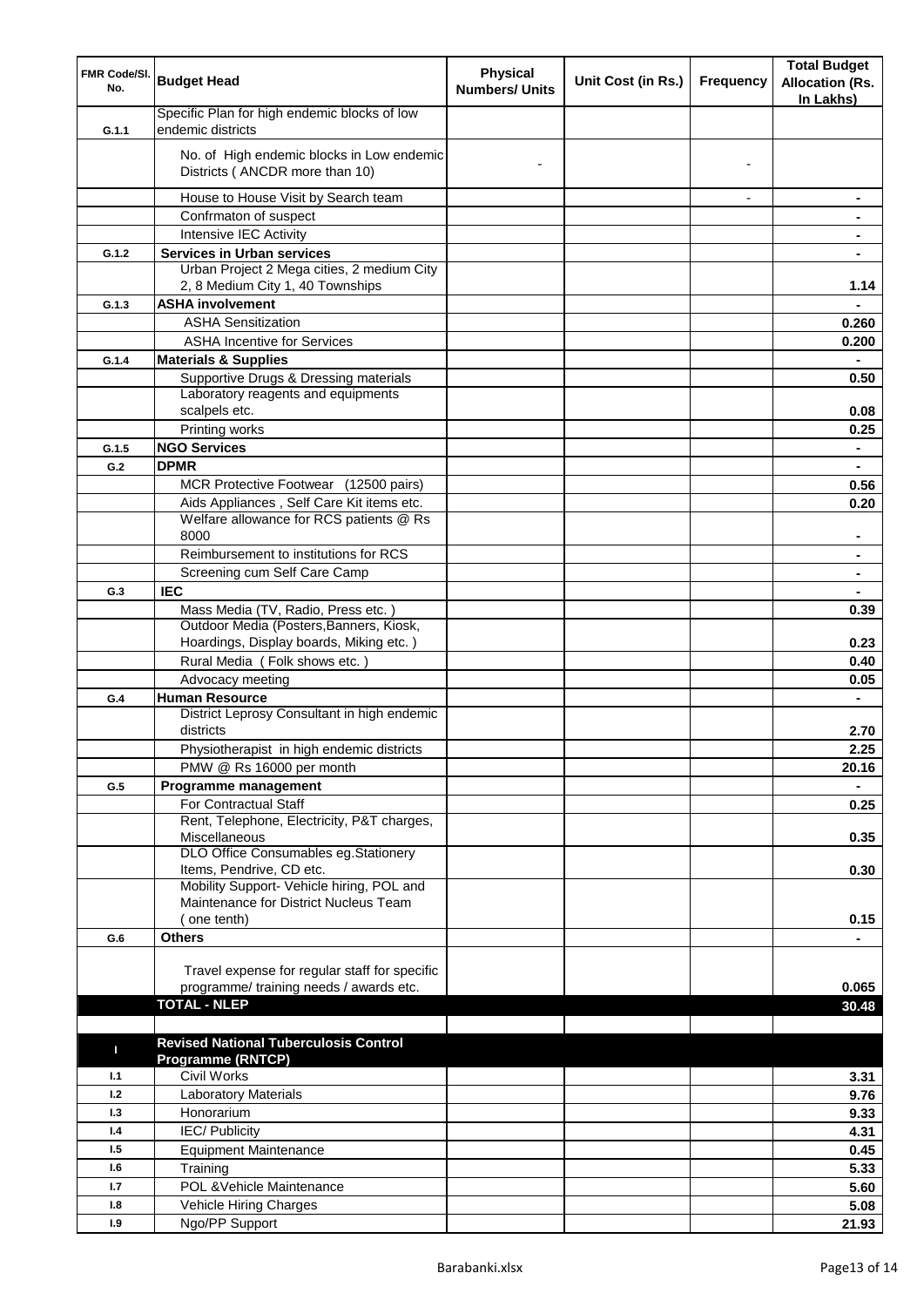| FMR Code/SI.<br>No. | <b>Budget Head</b>                                                                   | <b>Physical</b><br><b>Numbers/ Units</b> | Unit Cost (in Rs.) | <b>Frequency</b>         | <b>Total Budget</b><br><b>Allocation (Rs.</b><br>In Lakhs) |
|---------------------|--------------------------------------------------------------------------------------|------------------------------------------|--------------------|--------------------------|------------------------------------------------------------|
| G.1.1               | Specific Plan for high endemic blocks of low<br>endemic districts                    |                                          |                    |                          |                                                            |
|                     | No. of High endemic blocks in Low endemic<br>Districts ( ANCDR more than 10)         |                                          |                    |                          |                                                            |
|                     | House to House Visit by Search team                                                  |                                          |                    | $\overline{\phantom{a}}$ | $\blacksquare$                                             |
|                     | Confrmaton of suspect                                                                |                                          |                    |                          | ۰                                                          |
|                     | Intensive IEC Activity                                                               |                                          |                    |                          | $\blacksquare$                                             |
| G.1.2               | <b>Services in Urban services</b>                                                    |                                          |                    |                          | ٠                                                          |
|                     | Urban Project 2 Mega cities, 2 medium City<br>2, 8 Medium City 1, 40 Townships       |                                          |                    |                          | 1.14                                                       |
| G.1.3               | <b>ASHA involvement</b>                                                              |                                          |                    |                          |                                                            |
|                     | <b>ASHA Sensitization</b>                                                            |                                          |                    |                          | 0.260                                                      |
|                     | <b>ASHA Incentive for Services</b>                                                   |                                          |                    |                          | 0.200                                                      |
| G.1.4               | <b>Materials &amp; Supplies</b>                                                      |                                          |                    |                          |                                                            |
|                     | Supportive Drugs & Dressing materials                                                |                                          |                    |                          | 0.50                                                       |
|                     | Laboratory reagents and equipments                                                   |                                          |                    |                          |                                                            |
|                     | scalpels etc.                                                                        |                                          |                    |                          | 0.08                                                       |
|                     | Printing works                                                                       |                                          |                    |                          | 0.25                                                       |
| G.1.5               | <b>NGO Services</b>                                                                  |                                          |                    |                          | $\blacksquare$                                             |
| G.2                 | <b>DPMR</b>                                                                          |                                          |                    |                          | $\blacksquare$                                             |
|                     | MCR Protective Footwear (12500 pairs)                                                |                                          |                    |                          | 0.56                                                       |
|                     | Aids Appliances, Self Care Kit items etc.<br>Welfare allowance for RCS patients @ Rs |                                          |                    |                          | 0.20                                                       |
|                     | 8000                                                                                 |                                          |                    |                          |                                                            |
|                     | Reimbursement to institutions for RCS                                                |                                          |                    |                          |                                                            |
|                     | Screening cum Self Care Camp                                                         |                                          |                    |                          |                                                            |
| G.3                 | <b>IEC</b>                                                                           |                                          |                    |                          |                                                            |
|                     | Mass Media (TV, Radio, Press etc.)                                                   |                                          |                    |                          | 0.39                                                       |
|                     | Outdoor Media (Posters, Banners, Kiosk,                                              |                                          |                    |                          |                                                            |
|                     | Hoardings, Display boards, Miking etc.)                                              |                                          |                    |                          | 0.23                                                       |
|                     | Rural Media (Folk shows etc.)                                                        |                                          |                    |                          | 0.40                                                       |
|                     | Advocacy meeting                                                                     |                                          |                    |                          | 0.05                                                       |
| G.4                 | <b>Human Resource</b>                                                                |                                          |                    |                          | $\blacksquare$                                             |
|                     | District Leprosy Consultant in high endemic                                          |                                          |                    |                          |                                                            |
|                     | districts                                                                            |                                          |                    |                          | 2.70                                                       |
|                     | Physiotherapist in high endemic districts                                            |                                          |                    |                          | 2.25                                                       |
|                     | PMW @ Rs 16000 per month                                                             |                                          |                    |                          | 20.16                                                      |
| G.5                 | Programme management                                                                 |                                          |                    |                          |                                                            |
|                     | For Contractual Staff                                                                |                                          |                    |                          | 0.25                                                       |
|                     | Rent, Telephone, Electricity, P&T charges,<br>Miscellaneous                          |                                          |                    |                          | 0.35                                                       |
|                     | DLO Office Consumables eg.Stationery<br>Items, Pendrive, CD etc.                     |                                          |                    |                          | 0.30                                                       |
|                     | Mobility Support- Vehicle hiring, POL and                                            |                                          |                    |                          |                                                            |
|                     | Maintenance for District Nucleus Team                                                |                                          |                    |                          |                                                            |
|                     | (one tenth)                                                                          |                                          |                    |                          | 0.15                                                       |
| G.6                 | <b>Others</b>                                                                        |                                          |                    |                          |                                                            |
|                     |                                                                                      |                                          |                    |                          |                                                            |
|                     | Travel expense for regular staff for specific                                        |                                          |                    |                          |                                                            |
|                     | programme/ training needs / awards etc.                                              |                                          |                    |                          | 0.065                                                      |
|                     | <b>TOTAL - NLEP</b>                                                                  |                                          |                    |                          | 30.48                                                      |
|                     |                                                                                      |                                          |                    |                          |                                                            |
| п                   | <b>Revised National Tuberculosis Control</b><br><b>Programme (RNTCP)</b>             |                                          |                    |                          |                                                            |
| 1.1                 | Civil Works                                                                          |                                          |                    |                          | 3.31                                                       |
| 1.2                 | Laboratory Materials                                                                 |                                          |                    |                          | 9.76                                                       |
| 1.3                 | Honorarium                                                                           |                                          |                    |                          | 9.33                                                       |
| 1.4                 | <b>IEC/Publicity</b>                                                                 |                                          |                    |                          | 4.31                                                       |
| 1.5                 | <b>Equipment Maintenance</b>                                                         |                                          |                    |                          | 0.45                                                       |
| 1.6                 | Training                                                                             |                                          |                    |                          | 5.33                                                       |
| 1.7                 | POL & Vehicle Maintenance                                                            |                                          |                    |                          | 5.60                                                       |
| 1.8                 | Vehicle Hiring Charges                                                               |                                          |                    |                          | 5.08                                                       |
| 1.9                 | Ngo/PP Support                                                                       |                                          |                    |                          | 21.93                                                      |